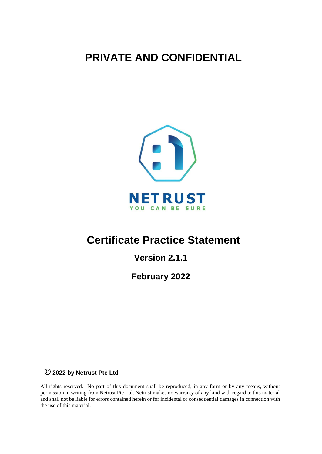**PRIVATE AND CONFIDENTIAL**



# **Certificate Practice Statement**

**Version 2.1.1**

**February 2022**

**2022 by Netrust Pte Ltd** 

All rights reserved. No part of this document shall be reproduced, in any form or by any means, without permission in writing from Netrust Pte Ltd. Netrust makes no warranty of any kind with regard to this material and shall not be liable for errors contained herein or for incidental or consequential damages in connection with the use of this material.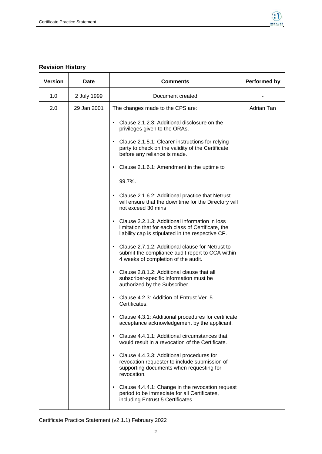

i.

#### **Revision History**   $\mathsf{r}$

| <b>Version</b> | Date        | <b>Comments</b>                                                                                                                                                    | <b>Performed by</b> |
|----------------|-------------|--------------------------------------------------------------------------------------------------------------------------------------------------------------------|---------------------|
| 1.0            | 2 July 1999 | Document created                                                                                                                                                   |                     |
| 2.0            | 29 Jan 2001 | The changes made to the CPS are:                                                                                                                                   | Adrian Tan          |
|                |             | Clause 2.1.2.3: Additional disclosure on the<br>privileges given to the ORAs.                                                                                      |                     |
|                |             | Clause 2.1.5.1: Clearer instructions for relying<br>party to check on the validity of the Certificate<br>before any reliance is made.                              |                     |
|                |             | Clause 2.1.6.1: Amendment in the uptime to                                                                                                                         |                     |
|                |             | 99.7%.                                                                                                                                                             |                     |
|                |             | Clause 2.1.6.2: Additional practice that Netrust<br>will ensure that the downtime for the Directory will<br>not exceed 30 mins                                     |                     |
|                |             | Clause 2.2.1.3: Additional information in loss<br>limitation that for each class of Certificate, the<br>liability cap is stipulated in the respective CP.          |                     |
|                |             | Clause 2.7.1.2: Additional clause for Netrust to<br>submit the compliance audit report to CCA within<br>4 weeks of completion of the audit.                        |                     |
|                |             | Clause 2.8.1.2: Additional clause that all<br>subscriber-specific information must be<br>authorized by the Subscriber.                                             |                     |
|                |             | Clause 4.2.3: Addition of Entrust Ver. 5<br>Certificates.                                                                                                          |                     |
|                |             | Clause 4.3.1: Additional procedures for certificate<br>acceptance acknowledgement by the applicant.                                                                |                     |
|                |             | Clause 4.4.1.1: Additional circumstances that<br>$\bullet$<br>would result in a revocation of the Certificate.                                                     |                     |
|                |             | Clause 4.4.3.3: Additional procedures for<br>$\bullet$<br>revocation requester to include submission of<br>supporting documents when requesting for<br>revocation. |                     |
|                |             | Clause 4.4.4.1: Change in the revocation request<br>$\bullet$<br>period to be immediate for all Certificates,<br>including Entrust 5 Certificates.                 |                     |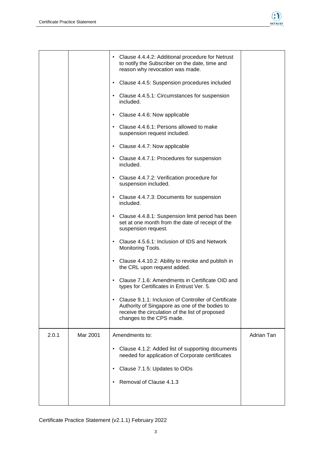

|       |          | Clause 4.4.4.2: Additional procedure for Netrust<br>$\bullet$<br>to notify the Subscriber on the date, time and<br>reason why revocation was made.                                                 |            |
|-------|----------|----------------------------------------------------------------------------------------------------------------------------------------------------------------------------------------------------|------------|
|       |          | Clause 4.4.5: Suspension procedures included<br>$\bullet$                                                                                                                                          |            |
|       |          | Clause 4.4.5.1: Circumstances for suspension<br>$\bullet$<br>included.                                                                                                                             |            |
|       |          | Clause 4.4.6: Now applicable<br>$\bullet$                                                                                                                                                          |            |
|       |          | Clause 4.4.6.1: Persons allowed to make<br>$\bullet$<br>suspension request included.                                                                                                               |            |
|       |          | Clause 4.4.7: Now applicable<br>$\bullet$                                                                                                                                                          |            |
|       |          | Clause 4.4.7.1: Procedures for suspension<br>$\bullet$<br>included.                                                                                                                                |            |
|       |          | Clause 4.4.7.2: Verification procedure for<br>$\bullet$<br>suspension included.                                                                                                                    |            |
|       |          | Clause 4.4.7.3: Documents for suspension<br>$\bullet$<br>included.                                                                                                                                 |            |
|       |          | Clause 4.4.8.1: Suspension limit period has been<br>$\bullet$<br>set at one month from the date of receipt of the<br>suspension request.                                                           |            |
|       |          | Clause 4.5.6.1: Inclusion of IDS and Network<br>$\bullet$<br>Monitoring Tools.                                                                                                                     |            |
|       |          | Clause 4.4.10.2: Ability to revoke and publish in<br>$\bullet$<br>the CRL upon request added.                                                                                                      |            |
|       |          | Clause 7.1.6: Amendments in Certificate OID and<br>$\bullet$<br>types for Certificates in Entrust Ver. 5.                                                                                          |            |
|       |          | Clause 9.1.1: Inclusion of Controller of Certificate<br>$\bullet$<br>Authority of Singapore as one of the bodies to<br>receive the circulation of the list of proposed<br>changes to the CPS made. |            |
| 2.0.1 | Mar 2001 | Amendments to:                                                                                                                                                                                     | Adrian Tan |
|       |          | Clause 4.1.2: Added list of supporting documents<br>$\bullet$<br>needed for application of Corporate certificates                                                                                  |            |
|       |          | Clause 7.1.5: Updates to OIDs<br>٠                                                                                                                                                                 |            |
|       |          | Removal of Clause 4.1.3<br>$\bullet$                                                                                                                                                               |            |
|       |          |                                                                                                                                                                                                    |            |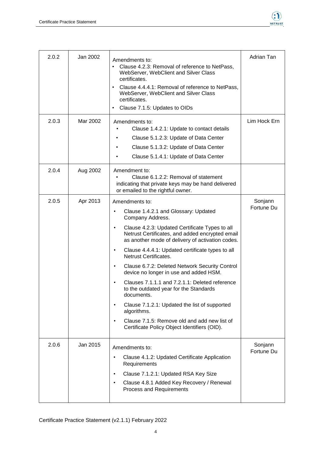

| 2.0.2 | Jan 2002 | Amendments to:<br>Clause 4.2.3: Removal of reference to NetPass,<br>$\bullet$<br>WebServer, WebClient and Silver Class<br>certificates.<br>Clause 4.4.4.1: Removal of reference to NetPass,<br>WebServer, WebClient and Silver Class<br>certificates.<br>Clause 7.1.5: Updates to OIDs<br>$\bullet$                                                                                                                                                                                                                                                                                                                                                                                                 | Adrian Tan            |
|-------|----------|-----------------------------------------------------------------------------------------------------------------------------------------------------------------------------------------------------------------------------------------------------------------------------------------------------------------------------------------------------------------------------------------------------------------------------------------------------------------------------------------------------------------------------------------------------------------------------------------------------------------------------------------------------------------------------------------------------|-----------------------|
| 2.0.3 | Mar 2002 | Amendments to:<br>Clause 1.4.2.1: Update to contact details<br>Clause 5.1.2.3: Update of Data Center<br>Clause 5.1.3.2: Update of Data Center<br>Clause 5.1.4.1: Update of Data Center                                                                                                                                                                                                                                                                                                                                                                                                                                                                                                              | Lim Hock Ern          |
| 2.0.4 | Aug 2002 | Amendment to:<br>Clause 6.1.2.2: Removal of statement<br>indicating that private keys may be hand delivered<br>or emailed to the rightful owner.                                                                                                                                                                                                                                                                                                                                                                                                                                                                                                                                                    |                       |
| 2.0.5 | Apr 2013 | Amendments to:<br>Clause 1.4.2.1 and Glossary: Updated<br>Company Address.<br>Clause 4.2.3: Updated Certificate Types to all<br>Netrust Certificates, and added encrypted email<br>as another mode of delivery of activation codes.<br>Clause 4.4.4.1: Updated certificate types to all<br>$\bullet$<br>Netrust Certificates.<br>Clause 6.7.2: Deleted Network Security Control<br>device no longer in use and added HSM.<br>Clauses 7.1.1.1 and 7.2.1.1: Deleted reference<br>to the outdated year for the Standards<br>documents.<br>Clause 7.1.2.1: Updated the list of supported<br>algorithms.<br>Clause 7.1.5: Remove old and add new list of<br>Certificate Policy Object Identifiers (OID). | Sonjann<br>Fortune Du |
| 2.0.6 | Jan 2015 | Amendments to:<br>Clause 4.1.2: Updated Certificate Application<br>$\bullet$<br>Requirements<br>Clause 7.1.2.1: Updated RSA Key Size<br>$\bullet$<br>Clause 4.8.1 Added Key Recovery / Renewal<br>$\bullet$<br>Process and Requirements                                                                                                                                                                                                                                                                                                                                                                                                                                                             | Sonjann<br>Fortune Du |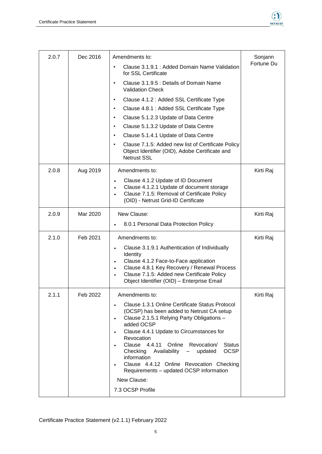

| 2.0.7 | Dec 2016 | Amendments to:                                                                                                                          | Sonjann<br>Fortune Du |
|-------|----------|-----------------------------------------------------------------------------------------------------------------------------------------|-----------------------|
|       |          | Clause 3.1.9.1 : Added Domain Name Validation<br>$\bullet$<br>for SSL Certificate                                                       |                       |
|       |          | Clause 3.1.9.5 : Details of Domain Name<br>٠<br><b>Validation Check</b>                                                                 |                       |
|       |          | Clause 4.1.2 : Added SSL Certificate Type                                                                                               |                       |
|       |          | Clause 4.8.1 : Added SSL Certificate Type<br>$\bullet$                                                                                  |                       |
|       |          | Clause 5.1.2.3 Update of Data Centre<br>$\bullet$                                                                                       |                       |
|       |          | Clause 5.1.3.2 Update of Data Centre<br>$\bullet$                                                                                       |                       |
|       |          | Clause 5.1.4.1 Update of Data Centre<br>$\bullet$                                                                                       |                       |
|       |          | Clause 7.1.5: Added new list of Certificate Policy<br>$\bullet$<br>Object Identifier (OID), Adobe Certificate and<br><b>Netrust SSL</b> |                       |
| 2.0.8 | Aug 2019 | Amendments to:                                                                                                                          | Kirti Raj             |
|       |          | Clause 4.1.2 Update of ID Document                                                                                                      |                       |
|       |          | Clause 4.1.2.1 Update of document storage                                                                                               |                       |
|       |          | Clause 7.1.5: Removal of Certificate Policy<br>(OID) - Netrust Grid-ID Certificate                                                      |                       |
|       |          |                                                                                                                                         |                       |
| 2.0.9 | Mar 2020 | New Clause:                                                                                                                             | Kirti Raj             |
|       |          | 8.0.1 Personal Data Protection Policy                                                                                                   |                       |
| 2.1.0 | Feb 2021 | Amendments to:                                                                                                                          | Kirti Raj             |
|       |          | Clause 3.1.9.1 Authentication of Individually                                                                                           |                       |
|       |          | Identity<br>Clause 4.1.2 Face-to-Face application                                                                                       |                       |
|       |          | Clause 4.8.1 Key Recovery / Renewal Process<br>$\bullet$                                                                                |                       |
|       |          | Clause 7.1.5: Added new Certificate Policy                                                                                              |                       |
|       |          | Object Identifier (OID) - Enterprise Email                                                                                              |                       |
| 2.1.1 | Feb 2022 | Amendments to:                                                                                                                          | Kirti Raj             |
|       |          | Clause 1.3.1 Online Certificate Status Protocol                                                                                         |                       |
|       |          | (OCSP) has been added to Netrust CA setup<br>Clause 2.1.5.1 Relying Party Obligations -<br>$\bullet$                                    |                       |
|       |          | added OCSP                                                                                                                              |                       |
|       |          | Clause 4.4.1 Update to Circumstances for                                                                                                |                       |
|       |          | Revocation<br>Online<br>Clause 4.4.11<br>Revocation/<br><b>Status</b>                                                                   |                       |
|       |          | <b>OCSP</b><br>Checking<br>Availability<br>updated                                                                                      |                       |
|       |          | information<br>Clause 4.4.12 Online Revocation Checking                                                                                 |                       |
|       |          | Requirements - updated OCSP information                                                                                                 |                       |
|       |          | New Clause:                                                                                                                             |                       |
|       |          | 7.3 OCSP Profile                                                                                                                        |                       |
|       |          |                                                                                                                                         |                       |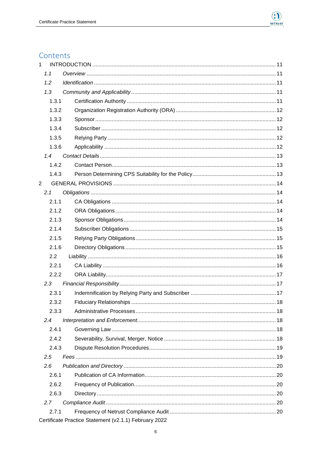

## Contents

| $\mathbf{1}$   |       |                                                       |
|----------------|-------|-------------------------------------------------------|
|                | 1.1   |                                                       |
|                | 1.2   |                                                       |
|                | 1.3   |                                                       |
|                | 1.3.1 |                                                       |
|                | 1.3.2 |                                                       |
|                | 1.3.3 |                                                       |
|                | 1.3.4 |                                                       |
|                | 1.3.5 |                                                       |
|                | 1.3.6 |                                                       |
|                | 1.4   |                                                       |
|                | 1.4.2 |                                                       |
|                | 1.4.3 |                                                       |
| $\overline{2}$ |       |                                                       |
|                | 2.1   |                                                       |
|                | 2.1.1 |                                                       |
|                | 2.1.2 |                                                       |
|                | 2.1.3 |                                                       |
|                | 2.1.4 |                                                       |
|                | 2.1.5 |                                                       |
|                | 2.1.6 |                                                       |
|                | 2.2   |                                                       |
|                | 2.2.1 |                                                       |
|                | 2.2.2 |                                                       |
|                | 2.3   |                                                       |
|                | 2.3.1 |                                                       |
|                | 232   | .18                                                   |
|                | 2.3.3 |                                                       |
|                | 2.4   |                                                       |
|                | 2.4.1 |                                                       |
|                | 2.4.2 |                                                       |
|                | 2.4.3 |                                                       |
|                | 2.5   |                                                       |
|                | 2.6   |                                                       |
|                | 2.6.1 |                                                       |
|                | 2.6.2 |                                                       |
|                | 2.6.3 |                                                       |
|                | 2.7   |                                                       |
|                | 2.7.1 |                                                       |
|                |       | Certificate Practice Statement (v2.1.1) February 2022 |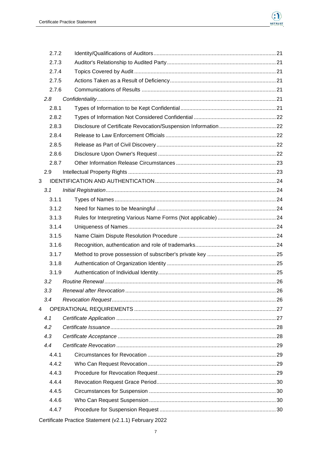

|   | 2.7.2 |    |
|---|-------|----|
|   | 2.7.3 |    |
|   | 2.7.4 |    |
|   | 2.7.5 |    |
|   | 2.7.6 |    |
|   | 2.8   |    |
|   | 2.8.1 |    |
|   | 2.8.2 |    |
|   | 2.8.3 |    |
|   | 2.8.4 |    |
|   | 2.8.5 |    |
|   | 2.8.6 |    |
|   | 2.8.7 |    |
|   | 2.9   |    |
| 3 |       |    |
|   | 3.1   |    |
|   | 3.1.1 |    |
|   | 3.1.2 |    |
|   | 3.1.3 |    |
|   | 3.1.4 |    |
|   | 3.1.5 |    |
|   | 3.1.6 |    |
|   | 3.1.7 |    |
|   | 3.1.8 |    |
|   | 3.1.9 |    |
|   | 3.2   |    |
|   | 3.3   | 26 |
|   | 3.4   |    |
| 4 |       |    |
|   | 4.1   |    |
|   | 4.2   |    |
|   | 4.3   |    |
|   | 4.4   |    |
|   | 4.4.1 |    |
|   | 4.4.2 |    |
|   | 4.4.3 |    |
|   | 4.4.4 |    |
|   | 4.4.5 |    |
|   | 4.4.6 |    |
|   | 4.4.7 |    |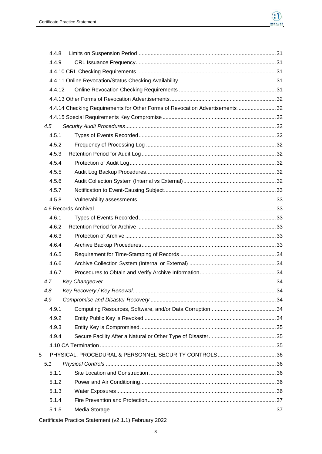

| 4.4.8 |                                                                              |  |
|-------|------------------------------------------------------------------------------|--|
| 4.4.9 |                                                                              |  |
|       |                                                                              |  |
|       |                                                                              |  |
|       | 4.4.12                                                                       |  |
|       |                                                                              |  |
|       | 4.4.14 Checking Requirements for Other Forms of Revocation Advertisements 32 |  |
|       |                                                                              |  |
| 4.5   |                                                                              |  |
| 4.5.1 |                                                                              |  |
| 4.5.2 |                                                                              |  |
| 4.5.3 |                                                                              |  |
| 4.5.4 |                                                                              |  |
| 4.5.5 |                                                                              |  |
| 4.5.6 |                                                                              |  |
| 4.5.7 |                                                                              |  |
| 4.5.8 |                                                                              |  |
|       |                                                                              |  |
| 4.6.1 |                                                                              |  |
| 4.6.2 |                                                                              |  |
| 4.6.3 |                                                                              |  |
| 4.6.4 |                                                                              |  |
| 4.6.5 |                                                                              |  |
| 4.6.6 |                                                                              |  |
| 4.6.7 |                                                                              |  |
| 4.7   |                                                                              |  |
| 4.8   |                                                                              |  |
| 4.9   |                                                                              |  |
| 4.9.1 |                                                                              |  |
| 4.9.2 |                                                                              |  |
| 4.9.3 |                                                                              |  |
| 4.9.4 |                                                                              |  |
|       |                                                                              |  |
| 5     |                                                                              |  |
| 5.1   |                                                                              |  |
| 5.1.1 |                                                                              |  |
| 5.1.2 |                                                                              |  |
| 5.1.3 |                                                                              |  |
| 5.1.4 |                                                                              |  |
| 5.1.5 |                                                                              |  |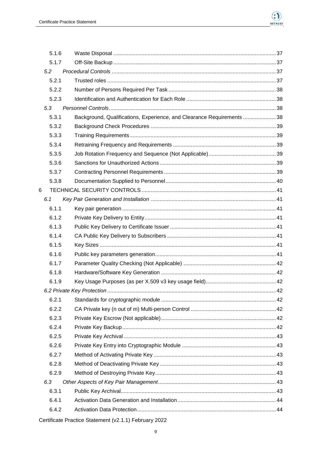

| 5.1.7 |                                                                        |  |
|-------|------------------------------------------------------------------------|--|
| 5.2   |                                                                        |  |
| 5.2.1 |                                                                        |  |
| 5.2.2 |                                                                        |  |
| 5.2.3 |                                                                        |  |
| 5.3   |                                                                        |  |
| 5.3.1 | Background, Qualifications, Experience, and Clearance Requirements  38 |  |
| 5.3.2 |                                                                        |  |
| 5.3.3 |                                                                        |  |
| 5.3.4 |                                                                        |  |
| 5.3.5 |                                                                        |  |
| 5.3.6 |                                                                        |  |
| 5.3.7 |                                                                        |  |
| 5.3.8 |                                                                        |  |
|       |                                                                        |  |
| 6.1   |                                                                        |  |
| 6.1.1 |                                                                        |  |
| 6.1.2 |                                                                        |  |
| 6.1.3 |                                                                        |  |
| 6.1.4 |                                                                        |  |
| 6.1.5 |                                                                        |  |
| 6.1.6 |                                                                        |  |
| 6.1.7 |                                                                        |  |
| 6.1.8 |                                                                        |  |
| 6.1.9 |                                                                        |  |
|       |                                                                        |  |
| 6.2.1 |                                                                        |  |
| 6.2.2 |                                                                        |  |
| 6.2.3 |                                                                        |  |
| 6.2.4 |                                                                        |  |
| 6.2.5 |                                                                        |  |
| 6.2.6 |                                                                        |  |
| 6.2.7 |                                                                        |  |
| 6.2.8 |                                                                        |  |
| 6.2.9 |                                                                        |  |
| 6.3   |                                                                        |  |
| 6.3.1 |                                                                        |  |
| 6.4.1 |                                                                        |  |
| 6.4.2 |                                                                        |  |
|       |                                                                        |  |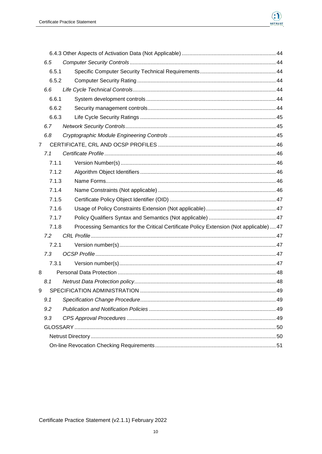

|                | 6.5   |                                                                                         |  |
|----------------|-------|-----------------------------------------------------------------------------------------|--|
|                | 6.5.1 |                                                                                         |  |
|                | 6.5.2 |                                                                                         |  |
|                | 6.6   |                                                                                         |  |
|                | 6.6.1 |                                                                                         |  |
|                | 6.6.2 |                                                                                         |  |
|                | 6.6.3 |                                                                                         |  |
|                | 6.7   |                                                                                         |  |
|                | 6.8   |                                                                                         |  |
| $\overline{7}$ |       |                                                                                         |  |
|                | 7.1   |                                                                                         |  |
|                | 7.1.1 |                                                                                         |  |
|                | 7.1.2 |                                                                                         |  |
|                | 7.1.3 |                                                                                         |  |
|                | 7.1.4 |                                                                                         |  |
|                | 7.1.5 |                                                                                         |  |
|                | 7.1.6 |                                                                                         |  |
|                | 7.1.7 |                                                                                         |  |
|                | 7.1.8 | Processing Semantics for the Critical Certificate Policy Extension (Not applicable)  47 |  |
|                | 7.2   |                                                                                         |  |
|                | 7.2.1 |                                                                                         |  |
|                | 7.3   |                                                                                         |  |
|                | 7.3.1 |                                                                                         |  |
| 8              |       |                                                                                         |  |
|                | 8.1   |                                                                                         |  |
| 9              |       |                                                                                         |  |
|                | 9.1   |                                                                                         |  |
|                | 9.2   |                                                                                         |  |
|                | 9.3   |                                                                                         |  |
|                |       |                                                                                         |  |
|                |       |                                                                                         |  |
|                |       |                                                                                         |  |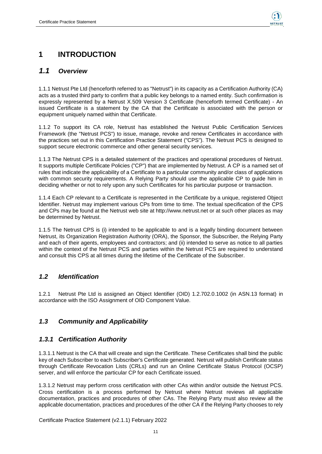

## <span id="page-10-0"></span>**1 INTRODUCTION**

### <span id="page-10-1"></span>*1.1 Overview*

1.1.1 Netrust Pte Ltd (henceforth referred to as "Netrust") in its capacity as a Certification Authority (CA) acts as a trusted third party to confirm that a public key belongs to a named entity. Such confirmation is expressly represented by a Netrust X.509 Version 3 Certificate (henceforth termed Certificate) - An issued Certificate is a statement by the CA that the Certificate is associated with the person or equipment uniquely named within that Certificate.

1.1.2 To support its CA role, Netrust has established the Netrust Public Certification Services Framework (the "Netrust PCS") to issue, manage, revoke and renew Certificates in accordance with the practices set out in this Certification Practice Statement ("CPS"). The Netrust PCS is designed to support secure electronic commerce and other general security services.

1.1.3 The Netrust CPS is a detailed statement of the practices and operational procedures of Netrust. It supports multiple Certificate Policies ("CP") that are implemented by Netrust. A CP is a named set of rules that indicate the applicability of a Certificate to a particular community and/or class of applications with common security requirements. A Relying Party should use the applicable CP to guide him in deciding whether or not to rely upon any such Certificates for his particular purpose or transaction.

1.1.4 Each CP relevant to a Certificate is represented in the Certificate by a unique, registered Object Identifier. Netrust may implement various CPs from time to time. The textual specification of the CPS and CPs may be found at the Netrust web site at http://www.netrust.net or at such other places as may be determined by Netrust.

1.1.5 The Netrust CPS is (i) intended to be applicable to and is a legally binding document between Netrust, its Organization Registration Authority (ORA), the Sponsor, the Subscriber, the Relying Party and each of their agents, employees and contractors; and (ii) intended to serve as notice to all parties within the context of the Netrust PCS and parties within the Netrust PCS are required to understand and consult this CPS at all times during the lifetime of the Certificate of the Subscriber.

### <span id="page-10-2"></span>*1.2 Identification*

1.2.1 Netrust Pte Ltd is assigned an Object Identifier (OID) 1.2.702.0.1002 (in ASN.13 format) in accordance with the ISO Assignment of OID Component Value.

### <span id="page-10-3"></span>*1.3 Community and Applicability*

#### <span id="page-10-4"></span>*1.3.1 Certification Authority*

1.3.1.1 Netrust is the CA that will create and sign the Certificate. These Certificates shall bind the public key of each Subscriber to each Subscriber's Certificate generated. Netrust will publish Certificate status through Certificate Revocation Lists (CRLs) and run an Online Certificate Status Protocol (OCSP) server, and will enforce the particular CP for each Certificate issued.

1.3.1.2 Netrust may perform cross certification with other CAs within and/or outside the Netrust PCS. Cross certification is a process performed by Netrust where Netrust reviews all applicable documentation, practices and procedures of other CAs. The Relying Party must also review all the applicable documentation, practices and procedures of the other CA if the Relying Party chooses to rely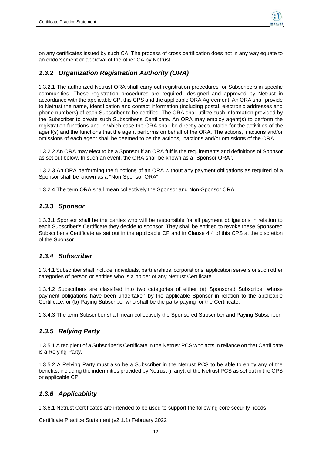

on any certificates issued by such CA. The process of cross certification does not in any way equate to an endorsement or approval of the other CA by Netrust.

### <span id="page-11-0"></span>*1.3.2 Organization Registration Authority (ORA)*

1.3.2.1 The authorized Netrust ORA shall carry out registration procedures for Subscribers in specific communities. These registration procedures are required, designed and approved by Netrust in accordance with the applicable CP, this CPS and the applicable ORA Agreement. An ORA shall provide to Netrust the name, identification and contact information (including postal, electronic addresses and phone numbers) of each Subscriber to be certified. The ORA shall utilize such information provided by the Subscriber to create such Subscriber's Certificate. An ORA may employ agent(s) to perform the registration functions and in which case the ORA shall be directly accountable for the activities of the agent(s) and the functions that the agent performs on behalf of the ORA. The actions, inactions and/or omissions of each agent shall be deemed to be the actions, inactions and/or omissions of the ORA.

1.3.2.2 An ORA may elect to be a Sponsor if an ORA fulfils the requirements and definitions of Sponsor as set out below. In such an event, the ORA shall be known as a "Sponsor ORA".

1.3.2.3 An ORA performing the functions of an ORA without any payment obligations as required of a Sponsor shall be known as a "Non-Sponsor ORA".

1.3.2.4 The term ORA shall mean collectively the Sponsor and Non-Sponsor ORA.

#### <span id="page-11-1"></span>*1.3.3 Sponsor*

1.3.3.1 Sponsor shall be the parties who will be responsible for all payment obligations in relation to each Subscriber's Certificate they decide to sponsor. They shall be entitled to revoke these Sponsored Subscriber's Certificate as set out in the applicable CP and in Clause 4.4 of this CPS at the discretion of the Sponsor.

#### <span id="page-11-2"></span>*1.3.4 Subscriber*

1.3.4.1 Subscriber shall include individuals, partnerships, corporations, application servers or such other categories of person or entities who is a holder of any Netrust Certificate.

1.3.4.2 Subscribers are classified into two categories of either (a) Sponsored Subscriber whose payment obligations have been undertaken by the applicable Sponsor in relation to the applicable Certificate; or (b) Paying Subscriber who shall be the party paying for the Certificate.

1.3.4.3 The term Subscriber shall mean collectively the Sponsored Subscriber and Paying Subscriber.

#### <span id="page-11-3"></span>*1.3.5 Relying Party*

1.3.5.1 A recipient of a Subscriber's Certificate in the Netrust PCS who acts in reliance on that Certificate is a Relying Party.

1.3.5.2 A Relying Party must also be a Subscriber in the Netrust PCS to be able to enjoy any of the benefits, including the indemnities provided by Netrust (if any), of the Netrust PCS as set out in the CPS or applicable CP.

#### <span id="page-11-4"></span>*1.3.6 Applicability*

1.3.6.1 Netrust Certificates are intended to be used to support the following core security needs: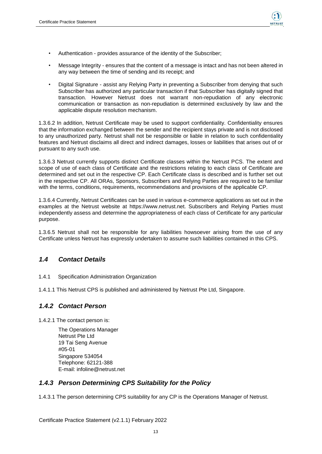

- Authentication provides assurance of the identity of the Subscriber;
- Message Integrity ensures that the content of a message is intact and has not been altered in any way between the time of sending and its receipt; and
- Digital Signature assist any Relying Party in preventing a Subscriber from denying that such Subscriber has authorized any particular transaction if that Subscriber has digitally signed that transaction. However Netrust does not warrant non-repudiation of any electronic communication or transaction as non-repudiation is determined exclusively by law and the applicable dispute resolution mechanism.

1.3.6.2 In addition, Netrust Certificate may be used to support confidentiality. Confidentiality ensures that the information exchanged between the sender and the recipient stays private and is not disclosed to any unauthorized party. Netrust shall not be responsible or liable in relation to such confidentiality features and Netrust disclaims all direct and indirect damages, losses or liabilities that arises out of or pursuant to any such use.

1.3.6.3 Netrust currently supports distinct Certificate classes within the Netrust PCS. The extent and scope of use of each class of Certificate and the restrictions relating to each class of Certificate are determined and set out in the respective CP. Each Certificate class is described and is further set out in the respective CP. All ORAs, Sponsors, Subscribers and Relying Parties are required to be familiar with the terms, conditions, requirements, recommendations and provisions of the applicable CP.

1.3.6.4 Currently, Netrust Certificates can be used in various e-commerce applications as set out in the examples at the Netrust website at https://www.netrust.net. Subscribers and Relying Parties must independently assess and determine the appropriateness of each class of Certificate for any particular purpose.

1.3.6.5 Netrust shall not be responsible for any liabilities howsoever arising from the use of any Certificate unless Netrust has expressly undertaken to assume such liabilities contained in this CPS.

#### <span id="page-12-0"></span>*1.4 Contact Details*

- 1.4.1 Specification Administration Organization
- 1.4.1.1 This Netrust CPS is published and administered by Netrust Pte Ltd, Singapore.

#### <span id="page-12-1"></span>*1.4.2 Contact Person*

1.4.2.1 The contact person is:

The Operations Manager Netrust Pte Ltd 19 Tai Seng Avenue #05-01 Singapore 534054 Telephone: 62121-388 E-mail: infoline@netrust.net

#### <span id="page-12-2"></span>*1.4.3 Person Determining CPS Suitability for the Policy*

1.4.3.1 The person determining CPS suitability for any CP is the Operations Manager of Netrust.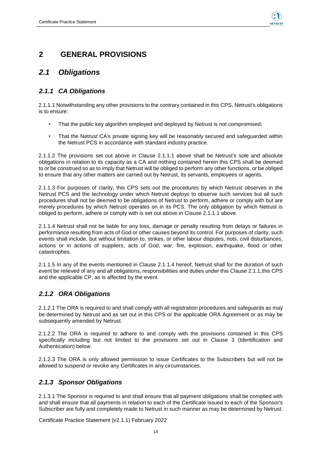

## <span id="page-13-0"></span>**2 GENERAL PROVISIONS**

## <span id="page-13-1"></span>*2.1 Obligations*

### <span id="page-13-2"></span>*2.1.1 CA Obligations*

2.1.1.1 Notwithstanding any other provisions to the contrary contained in this CPS, Netrust's obligations is to ensure:

- That the public key algorithm employed and deployed by Netrust is not compromised;
- That the Netrust CA's private signing key will be reasonably secured and safeguarded within the Netrust PCS in accordance with standard industry practice.

2.1.1.2 The provisions set out above in Clause 2.1.1.1 above shall be Netrust's sole and absolute obligations in relation to its capacity as a CA and nothing contained herein this CPS shall be deemed to or be construed so as to imply that Netrust will be obliged to perform any other functions, or be obliged to ensure that any other matters are carried out by Netrust, its servants, employees or agents.

2.1.1.3 For purposes of clarity, this CPS sets out the procedures by which Netrust observes in the Netrust PCS and the technology under which Netrust deploys to observe such services but all such procedures shall not be deemed to be obligations of Netrust to perform, adhere or comply with but are merely procedures by which Netrust operates on in its PCS. The only obligation by which Netrust is obliged to perform, adhere or comply with is set out above in Clause 2.1.1.1 above.

2.1.1.4 Netrust shall not be liable for any loss, damage or penalty resulting from delays or failures in performance resulting from acts of God or other causes beyond its control. For purposes of clarity, such events shall include, but without limitation to, strikes, or other labour disputes, riots, civil disturbances, actions or in actions of suppliers, acts of God, war, fire, explosion, earthquake, flood or other catastrophes.

2.1.1.5 In any of the events mentioned in Clause 2.1.1.4 hereof, Netrust shall for the duration of such event be relieved of any and all obligations, responsibilities and duties under this Clause 2.1.1,this CPS and the applicable CP, as is affected by the event.

## <span id="page-13-3"></span>*2.1.2 ORA Obligations*

2.1.2.1 The ORA is required to and shall comply with all registration procedures and safeguards as may be determined by Netrust and as set out in this CPS or the applicable ORA Agreement or as may be subsequently amended by Netrust.

2.1.2.2 The ORA is required to adhere to and comply with the provisions contained in this CPS specifically including but not limited to the provisions set out in Clause 3 (Identification and Authentication) below.

2.1.2.3 The ORA is only allowed permission to issue Certificates to the Subscribers but will not be allowed to suspend or revoke any Certificates in any circumstances.

### <span id="page-13-4"></span>*2.1.3 Sponsor Obligations*

2.1.3.1 The Sponsor is required to and shall ensure that all payment obligations shall be complied with and shall ensure that all payments in relation to each of the Certificate issued to each of the Sponsor's Subscriber are fully and completely made to Netrust in such manner as may be determined by Netrust.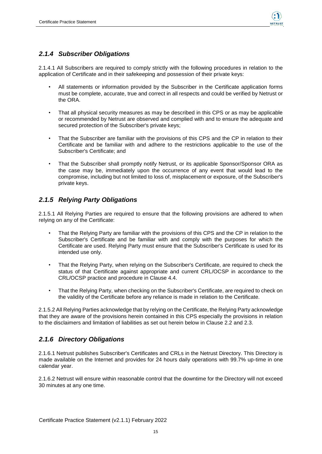

#### <span id="page-14-0"></span>*2.1.4 Subscriber Obligations*

2.1.4.1 All Subscribers are required to comply strictly with the following procedures in relation to the application of Certificate and in their safekeeping and possession of their private keys:

- All statements or information provided by the Subscriber in the Certificate application forms must be complete, accurate, true and correct in all respects and could be verified by Netrust or the ORA.
- That all physical security measures as may be described in this CPS or as may be applicable or recommended by Netrust are observed and complied with and to ensure the adequate and secured protection of the Subscriber's private keys;
- That the Subscriber are familiar with the provisions of this CPS and the CP in relation to their Certificate and be familiar with and adhere to the restrictions applicable to the use of the Subscriber's Certificate; and
- That the Subscriber shall promptly notify Netrust, or its applicable Sponsor/Sponsor ORA as the case may be, immediately upon the occurrence of any event that would lead to the compromise, including but not limited to loss of, misplacement or exposure, of the Subscriber's private keys.

### <span id="page-14-1"></span>*2.1.5 Relying Party Obligations*

2.1.5.1 All Relying Parties are required to ensure that the following provisions are adhered to when relying on any of the Certificate:

- That the Relying Party are familiar with the provisions of this CPS and the CP in relation to the Subscriber's Certificate and be familiar with and comply with the purposes for which the Certificate are used. Relying Party must ensure that the Subscriber's Certificate is used for its intended use only.
- That the Relying Party, when relying on the Subscriber's Certificate, are required to check the status of that Certificate against appropriate and current CRL/OCSP in accordance to the CRL/OCSP practice and procedure in Clause 4.4.
- That the Relying Party, when checking on the Subscriber's Certificate, are required to check on the validity of the Certificate before any reliance is made in relation to the Certificate.

2.1.5.2 All Relying Parties acknowledge that by relying on the Certificate, the Relying Party acknowledge that they are aware of the provisions herein contained in this CPS especially the provisions in relation to the disclaimers and limitation of liabilities as set out herein below in Clause 2.2 and 2.3.

### <span id="page-14-2"></span>*2.1.6 Directory Obligations*

2.1.6.1 Netrust publishes Subscriber's Certificates and CRLs in the Netrust Directory. This Directory is made available on the Internet and provides for 24 hours daily operations with 99.7% up-time in one calendar year.

2.1.6.2 Netrust will ensure within reasonable control that the downtime for the Directory will not exceed 30 minutes at any one time.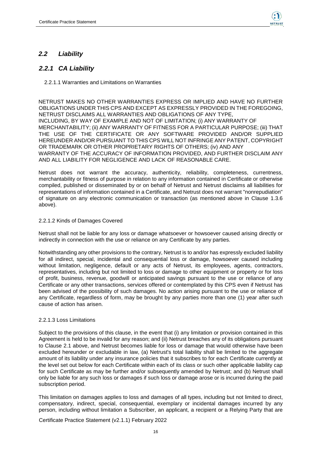

#### <span id="page-15-0"></span>*2.2 Liability*

### <span id="page-15-1"></span>*2.2.1 CA Liability*

2.2.1.1 Warranties and Limitations on Warranties

NETRUST MAKES NO OTHER WARRANTIES EXPRESS OR IMPLIED AND HAVE NO FURTHER OBLIGATIONS UNDER THIS CPS AND EXCEPT AS EXPRESSLY PROVIDED IN THE FOREGOING, NETRUST DISCLAIMS ALL WARRANTIES AND OBLIGATIONS OF ANY TYPE, INCLUDING, BY WAY OF EXAMPLE AND NOT OF LIMITATION; (i) ANY WARRANTY OF MERCHANTABILITY; (ii) ANY WARRANTY OF FITNESS FOR A PARTICULAR PURPOSE; (iii) THAT THE USE OF THE CERTIFICATE OR ANY SOFTWARE PROVIDED AND/OR SUPPLIED HEREUNDER AND/OR PURSUANT TO THIS CPS WILL NOT INFRINGE ANY PATENT, COPYRIGHT OR TRADEMARK OR OTHER PROPRIETARY RIGHTS OF OTHERS; (iv) AND ANY WARRANTY OF THE ACCURACY OF INFORMATION PROVIDED, AND FURTHER DISCLAIM ANY AND ALL LIABILITY FOR NEGLIGENCE AND LACK OF REASONABLE CARE.

Netrust does not warrant the accuracy, authenticity, reliability, completeness, currentness, merchantability or fitness of purpose in relation to any information contained in Certificate or otherwise compiled, published or disseminated by or on behalf of Netrust and Netrust disclaims all liabilities for representations of information contained in a Certificate, and Netrust does not warrant "nonrepudiation" of signature on any electronic communication or transaction (as mentioned above in Clause 1.3.6 above).

#### 2.2.1.2 Kinds of Damages Covered

Netrust shall not be liable for any loss or damage whatsoever or howsoever caused arising directly or indirectly in connection with the use or reliance on any Certificate by any parties.

Notwithstanding any other provisions to the contrary, Netrust is to and/or has expressly excluded liability for all indirect, special, incidental and consequential loss or damage, howsoever caused including without limitation, negligence, default or any acts of Netrust, its employees, agents, contractors, representatives, including but not limited to loss or damage to other equipment or property or for loss of profit, business, revenue, goodwill or anticipated savings pursuant to the use or reliance of any Certificate or any other transactions, services offered or contemplated by this CPS even if Netrust has been advised of the possibility of such damages. No action arising pursuant to the use or reliance of any Certificate, regardless of form, may be brought by any parties more than one (1) year after such cause of action has arisen.

#### 2.2.1.3 Loss Limitations

Subject to the provisions of this clause, in the event that (i) any limitation or provision contained in this Agreement is held to be invalid for any reason; and (ii) Netrust breaches any of its obligations pursuant to Clause 2.1 above, and Netrust becomes liable for loss or damage that would otherwise have been excluded hereunder or excludable in law, (a) Netrust's total liability shall be limited to the aggregate amount of its liability under any insurance policies that it subscribes to for each Certificate currently at the level set out below for each Certificate within each of its class or such other applicable liability cap for such Certificate as may be further and/or subsequently amended by Netrust; and (b) Netrust shall only be liable for any such loss or damages if such loss or damage arose or is incurred during the paid subscription period.

This limitation on damages applies to loss and damages of all types, including but not limited to direct, compensatory, indirect, special, consequential, exemplary or incidental damages incurred by any person, including without limitation a Subscriber, an applicant, a recipient or a Relying Party that are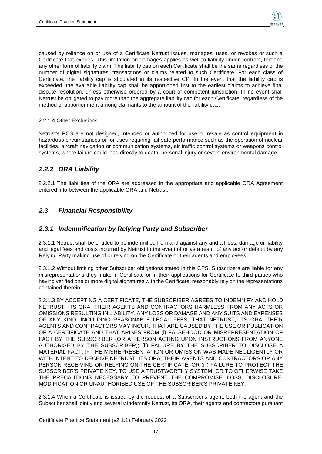

caused by reliance on or use of a Certificate Netrust issues, manages, uses, or revokes or such a Certificate that expires. This limitation on damages applies as well to liability under contract, tort and any other form of liability claim. The liability cap on each Certificate shall be the same regardless of the number of digital signatures, transactions or claims related to such Certificate. For each class of Certificate, the liability cap is stipulated in its respective CP. In the event that the liability cap is exceeded, the available liability cap shall be apportioned first to the earliest claims to achieve final dispute resolution, unless otherwise ordered by a court of competent jurisdiction. In no event shall Netrust be obligated to pay more than the aggregate liability cap for each Certificate, regardless of the method of apportionment among claimants to the amount of the liability cap.

#### 2.2.1.4 Other Exclusions

Netrust's PCS are not designed, intended or authorized for use or resale as control equipment in hazardous circumstances or for uses requiring fail-safe performance such as the operation of nuclear facilities, aircraft navigation or communication systems, air traffic control systems or weapons control systems, where failure could lead directly to death, personal injury or severe environmental damage.

#### <span id="page-16-0"></span>*2.2.2 ORA Liability*

2.2.2.1 The liabilities of the ORA are addressed in the appropriate and applicable ORA Agreement entered into between the applicable ORA and Netrust.

### <span id="page-16-1"></span>*2.3 Financial Responsibility*

#### <span id="page-16-2"></span>*2.3.1 Indemnification by Relying Party and Subscriber*

2.3.1.1 Netrust shall be entitled to be indemnified from and against any and all loss, damage or liability and legal fees and costs incurred by Netrust in the event of or as a result of any act or default by any Relying Party making use of or relying on the Certificate or their agents and employees.

2.3.1.2 Without limiting other Subscriber obligations stated in this CPS, Subscribers are liable for any misrepresentations they make in Certificate or in their applications for Certificate to third parties who having verified one or more digital signatures with the Certificate, reasonably rely on the representations contained therein.

2.3.1.3 BY ACCEPTING A CERTIFICATE, THE SUBSCRIBER AGREES TO INDEMNIFY AND HOLD NETRUST, ITS ORA, THEIR AGENTS AND CONTRACTORS HARMLESS FROM ANY ACTS OR OMISSIONS RESULTING IN LIABILITY, ANY LOSS OR DAMAGE AND ANY SUITS AND EXPENSES OF ANY KIND, INCLUDING REASONABLE LEGAL FEES, THAT NETRUST, ITS ORA, THEIR AGENTS AND CONTRACTORS MAY INCUR, THAT ARE CAUSED BY THE USE OR PUBLICATION OF A CERTIFICATE AND THAT ARISES FROM (i) FALSEHOOD OR MISREPRESENTATION OF FACT BY THE SUBSCRIBER (OR A PERSON ACTING UPON INSTRUCTIONS FROM ANYONE AUTHORISED BY THE SUBSCRIBER); (ii) FAILURE BY THE SUBSCRIBER TO DISCLOSE A MATERIAL FACT, IF THE MISREPRESENTATION OR OMISSION WAS MADE NEGLIGENTLY OR WITH INTENT TO DECEIVE NETRUST, ITS ORA, THEIR AGENTS AND CONTRACTORS OR ANY PERSON RECEIVING OR RELYING ON THE CERTIFICATE, OR (iii) FAILURE TO PROTECT THE SUBSCRIBER'S PRIVATE KEY, TO USE A TRUSTWORTHY SYSTEM, OR TO OTHERWISE TAKE THE PRECAUTIONS NECESSARY TO PREVENT THE COMPROMISE, LOSS, DISCLOSURE, MODIFICATION OR UNAUTHORISED USE OF THE SUBSCRIBER'S PRIVATE KEY.

2.3.1.4 When a Certificate is issued by the request of a Subscriber's agent, both the agent and the Subscriber shall jointly and severally indemnify Netrust, its ORA, their agents and contractors pursuant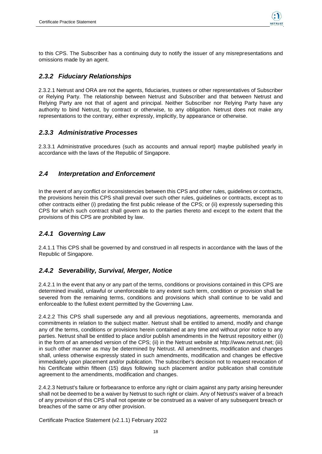

to this CPS. The Subscriber has a continuing duty to notify the issuer of any misrepresentations and omissions made by an agent.

### <span id="page-17-0"></span>*2.3.2 Fiduciary Relationships*

2.3.2.1 Netrust and ORA are not the agents, fiduciaries, trustees or other representatives of Subscriber or Relying Party. The relationship between Netrust and Subscriber and that between Netrust and Relying Party are not that of agent and principal. Neither Subscriber nor Relying Party have any authority to bind Netrust, by contract or otherwise, to any obligation. Netrust does not make any representations to the contrary, either expressly, implicitly, by appearance or otherwise.

#### <span id="page-17-1"></span>*2.3.3 Administrative Processes*

2.3.3.1 Administrative procedures (such as accounts and annual report) maybe published yearly in accordance with the laws of the Republic of Singapore.

#### <span id="page-17-2"></span>*2.4 Interpretation and Enforcement*

In the event of any conflict or inconsistencies between this CPS and other rules, guidelines or contracts, the provisions herein this CPS shall prevail over such other rules, guidelines or contracts, except as to other contracts either (i) predating the first public release of the CPS; or (ii) expressly superseding this CPS for which such contract shall govern as to the parties thereto and except to the extent that the provisions of this CPS are prohibited by law.

#### <span id="page-17-3"></span>*2.4.1 Governing Law*

2.4.1.1 This CPS shall be governed by and construed in all respects in accordance with the laws of the Republic of Singapore.

#### <span id="page-17-4"></span>*2.4.2 Severability, Survival, Merger, Notice*

2.4.2.1 In the event that any or any part of the terms, conditions or provisions contained in this CPS are determined invalid, unlawful or unenforceable to any extent such term, condition or provision shall be severed from the remaining terms, conditions and provisions which shall continue to be valid and enforceable to the fullest extent permitted by the Governing Law.

2.4.2.2 This CPS shall supersede any and all previous negotiations, agreements, memoranda and commitments in relation to the subject matter. Netrust shall be entitled to amend, modify and change any of the terms, conditions or provisions herein contained at any time and without prior notice to any parties. Netrust shall be entitled to place and/or publish amendments in the Netrust repository either (i) in the form of an amended version of the CPS; (ii) in the Netrust website at http://www.netrust.net; (iii) in such other manner as may be determined by Netrust. All amendments, modification and changes shall, unless otherwise expressly stated in such amendments, modification and changes be effective immediately upon placement and/or publication. The subscriber's decision not to request revocation of his Certificate within fifteen (15) days following such placement and/or publication shall constitute agreement to the amendments, modification and changes.

2.4.2.3 Netrust's failure or forbearance to enforce any right or claim against any party arising hereunder shall not be deemed to be a waiver by Netrust to such right or claim. Any of Netrust's waiver of a breach of any provision of this CPS shall not operate or be construed as a waiver of any subsequent breach or breaches of the same or any other provision.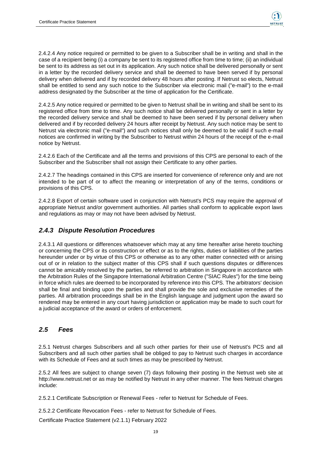2.4.2.4 Any notice required or permitted to be given to a Subscriber shall be in writing and shall in the case of a recipient being (i) a company be sent to its registered office from time to time; (ii) an individual be sent to its address as set out in its application. Any such notice shall be delivered personally or sent in a letter by the recorded delivery service and shall be deemed to have been served if by personal delivery when delivered and if by recorded delivery 48 hours after posting. If Netrust so elects, Netrust shall be entitled to send any such notice to the Subscriber via electronic mail ("e-mail") to the e-mail address designated by the Subscriber at the time of application for the Certificate.

2.4.2.5 Any notice required or permitted to be given to Netrust shall be in writing and shall be sent to its registered office from time to time. Any such notice shall be delivered personally or sent in a letter by the recorded delivery service and shall be deemed to have been served if by personal delivery when delivered and if by recorded delivery 24 hours after receipt by Netrust. Any such notice may be sent to Netrust via electronic mail ("e-mail") and such notices shall only be deemed to be valid if such e-mail notices are confirmed in writing by the Subscriber to Netrust within 24 hours of the receipt of the e-mail notice by Netrust.

2.4.2.6 Each of the Certificate and all the terms and provisions of this CPS are personal to each of the Subscriber and the Subscriber shall not assign their Certificate to any other parties.

2.4.2.7 The headings contained in this CPS are inserted for convenience of reference only and are not intended to be part of or to affect the meaning or interpretation of any of the terms, conditions or provisions of this CPS.

2.4.2.8 Export of certain software used in conjunction with Netrust's PCS may require the approval of appropriate Netrust and/or government authorities. All parties shall conform to applicable export laws and regulations as may or may not have been advised by Netrust.

### <span id="page-18-0"></span>*2.4.3 Dispute Resolution Procedures*

2.4.3.1 All questions or differences whatsoever which may at any time hereafter arise hereto touching or concerning the CPS or its construction or effect or as to the rights, duties or liabilities of the parties hereunder under or by virtue of this CPS or otherwise as to any other matter connected with or arising out of or in relation to the subject matter of this CPS shall if such questions disputes or differences cannot be amicably resolved by the parties, be referred to arbitration in Singapore in accordance with the Arbitration Rules of the Singapore International Arbitration Centre ("SIAC Rules") for the time being in force which rules are deemed to be incorporated by reference into this CPS. The arbitrators' decision shall be final and binding upon the parties and shall provide the sole and exclusive remedies of the parties. All arbitration proceedings shall be in the English language and judgment upon the award so rendered may be entered in any court having jurisdiction or application may be made to such court for a judicial acceptance of the award or orders of enforcement.

#### <span id="page-18-1"></span>*2.5 Fees*

2.5.1 Netrust charges Subscribers and all such other parties for their use of Netrust's PCS and all Subscribers and all such other parties shall be obliged to pay to Netrust such charges in accordance with its Schedule of Fees and at such times as may be prescribed by Netrust.

2.5.2 All fees are subject to change seven (7) days following their posting in the Netrust web site at http://www.netrust.net or as may be notified by Netrust in any other manner. The fees Netrust charges include:

2.5.2.1 Certificate Subscription or Renewal Fees - refer to Netrust for Schedule of Fees.

2.5.2.2 Certificate Revocation Fees - refer to Netrust for Schedule of Fees.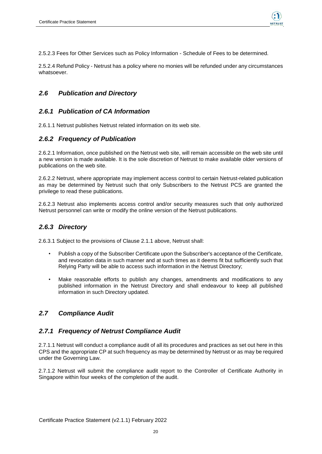

2.5.2.3 Fees for Other Services such as Policy Information - Schedule of Fees to be determined.

2.5.2.4 Refund Policy - Netrust has a policy where no monies will be refunded under any circumstances whatsoever.

#### <span id="page-19-0"></span>*2.6 Publication and Directory*

#### <span id="page-19-1"></span>*2.6.1 Publication of CA Information*

2.6.1.1 Netrust publishes Netrust related information on its web site.

#### <span id="page-19-2"></span>*2.6.2 Frequency of Publication*

2.6.2.1 Information, once published on the Netrust web site, will remain accessible on the web site until a new version is made available. It is the sole discretion of Netrust to make available older versions of publications on the web site.

2.6.2.2 Netrust, where appropriate may implement access control to certain Netrust-related publication as may be determined by Netrust such that only Subscribers to the Netrust PCS are granted the privilege to read these publications.

2.6.2.3 Netrust also implements access control and/or security measures such that only authorized Netrust personnel can write or modify the online version of the Netrust publications.

#### <span id="page-19-3"></span>*2.6.3 Directory*

2.6.3.1 Subject to the provisions of Clause 2.1.1 above, Netrust shall:

- Publish a copy of the Subscriber Certificate upon the Subscriber's acceptance of the Certificate, and revocation data in such manner and at such times as it deems fit but sufficiently such that Relying Party will be able to access such information in the Netrust Directory;
- Make reasonable efforts to publish any changes, amendments and modifications to any published information in the Netrust Directory and shall endeavour to keep all published information in such Directory updated.

#### <span id="page-19-4"></span>*2.7 Compliance Audit*

#### <span id="page-19-5"></span>*2.7.1 Frequency of Netrust Compliance Audit*

2.7.1.1 Netrust will conduct a compliance audit of all its procedures and practices as set out here in this CPS and the appropriate CP at such frequency as may be determined by Netrust or as may be required under the Governing Law.

2.7.1.2 Netrust will submit the compliance audit report to the Controller of Certificate Authority in Singapore within four weeks of the completion of the audit.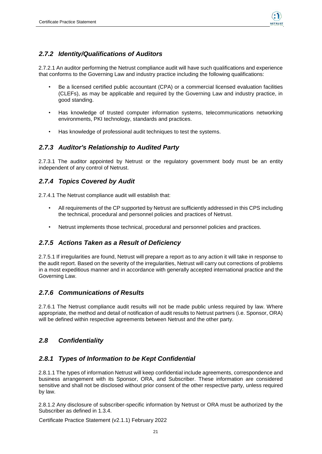

### <span id="page-20-0"></span>*2.7.2 Identity/Qualifications of Auditors*

2.7.2.1 An auditor performing the Netrust compliance audit will have such qualifications and experience that conforms to the Governing Law and industry practice including the following qualifications:

- Be a licensed certified public accountant (CPA) or a commercial licensed evaluation facilities (CLEFs), as may be applicable and required by the Governing Law and industry practice, in good standing.
- Has knowledge of trusted computer information systems, telecommunications networking environments, PKI technology, standards and practices.
- Has knowledge of professional audit techniques to test the systems.

### <span id="page-20-1"></span>*2.7.3 Auditor's Relationship to Audited Party*

2.7.3.1 The auditor appointed by Netrust or the regulatory government body must be an entity independent of any control of Netrust.

### <span id="page-20-2"></span>*2.7.4 Topics Covered by Audit*

2.7.4.1 The Netrust compliance audit will establish that:

- All requirements of the CP supported by Netrust are sufficiently addressed in this CPS including the technical, procedural and personnel policies and practices of Netrust.
- Netrust implements those technical, procedural and personnel policies and practices.

#### <span id="page-20-3"></span>*2.7.5 Actions Taken as a Result of Deficiency*

2.7.5.1 If irregularities are found, Netrust will prepare a report as to any action it will take in response to the audit report. Based on the severity of the irregularities, Netrust will carry out corrections of problems in a most expeditious manner and in accordance with generally accepted international practice and the Governing Law.

### <span id="page-20-4"></span>*2.7.6 Communications of Results*

2.7.6.1 The Netrust compliance audit results will not be made public unless required by law. Where appropriate, the method and detail of notification of audit results to Netrust partners (i.e. Sponsor, ORA) will be defined within respective agreements between Netrust and the other party.

#### <span id="page-20-5"></span>*2.8 Confidentiality*

#### <span id="page-20-6"></span>*2.8.1 Types of Information to be Kept Confidential*

2.8.1.1 The types of information Netrust will keep confidential include agreements, correspondence and business arrangement with its Sponsor, ORA, and Subscriber. These information are considered sensitive and shall not be disclosed without prior consent of the other respective party, unless required by law.

2.8.1.2 Any disclosure of subscriber-specific information by Netrust or ORA must be authorized by the Subscriber as defined in 1.3.4.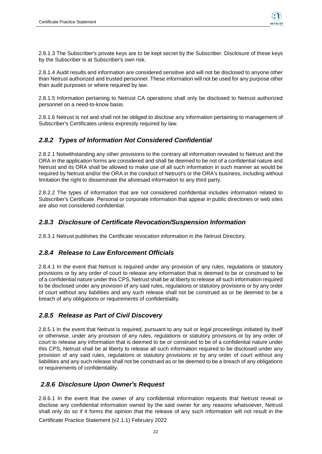

2.8.1.3 The Subscriber's private keys are to be kept secret by the Subscriber. Disclosure of these keys by the Subscriber is at Subscriber's own risk.

2.8.1.4 Audit results and information are considered sensitive and will not be disclosed to anyone other than Netrust authorized and trusted personnel. These information will not be used for any purpose other than audit purposes or where required by law.

2.8.1.5 Information pertaining to Netrust CA operations shall only be disclosed to Netrust authorized personnel on a need-to-know basis.

2.8.1.6 Netrust is not and shall not be obliged to disclose any information pertaining to management of Subscriber's Certificates unless expressly required by law.

#### <span id="page-21-0"></span>*2.8.2 Types of Information Not Considered Confidential*

2.8.2.1 Notwithstanding any other provisions to the contrary all information revealed to Netrust and the ORA in the application forms are considered and shall be deemed to be not of a confidential nature and Netrust and its ORA shall be allowed to make use of all such information in such manner as would be required by Netrust and/or the ORA in the conduct of Netrust's or the ORA's business, including without limitation the right to disseminate the aforesaid information to any third party.

2.8.2.2 The types of information that are not considered confidential includes information related to Subscriber's Certificate. Personal or corporate information that appear in public directories or web sites are also not considered confidential.

#### <span id="page-21-1"></span>*2.8.3 Disclosure of Certificate Revocation/Suspension Information*

2.8.3.1 Netrust publishes the Certificate revocation information in the Netrust Directory.

#### <span id="page-21-2"></span>*2.8.4 Release to Law Enforcement Officials*

2.8.4.1 In the event that Netrust is required under any provision of any rules, regulations or statutory provisions or by any order of court to release any information that is deemed to be or construed to be of a confidential nature under this CPS, Netrust shall be at liberty to release all such information required to be disclosed under any provision of any said rules, regulations or statutory provisions or by any order of court without any liabilities and any such release shall not be construed as or be deemed to be a breach of any obligations or requirements of confidentiality.

### <span id="page-21-3"></span>*2.8.5 Release as Part of Civil Discovery*

2.8.5.1 In the event that Netrust is required, pursuant to any suit or legal proceedings initiated by itself or otherwise, under any provision of any rules, regulations or statutory provisions or by any order of court to release any information that is deemed to be or construed to be of a confidential nature under this CPS, Netrust shall be at liberty to release all such information required to be disclosed under any provision of any said rules, regulations or statutory provisions or by any order of court without any liabilities and any such release shall not be construed as or be deemed to be a breach of any obligations or requirements of confidentiality.

#### <span id="page-21-4"></span>*2.8.6 Disclosure Upon Owner's Request*

2.8.6.1 In the event that the owner of any confidential information requests that Netrust reveal or disclose any confidential information owned by the said owner for any reasons whatsoever, Netrust shall only do so if it forms the opinion that the release of any such information will not result in the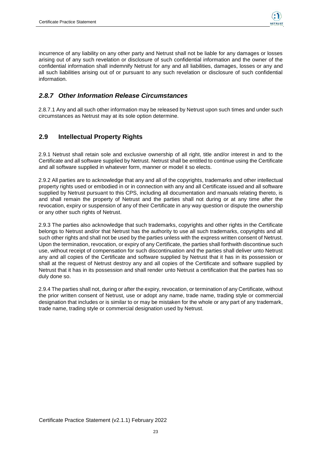

incurrence of any liability on any other party and Netrust shall not be liable for any damages or losses arising out of any such revelation or disclosure of such confidential information and the owner of the confidential information shall indemnify Netrust for any and all liabilities, damages, losses or any and all such liabilities arising out of or pursuant to any such revelation or disclosure of such confidential information.

### <span id="page-22-0"></span>*2.8.7 Other Information Release Circumstances*

2.8.7.1 Any and all such other information may be released by Netrust upon such times and under such circumstances as Netrust may at its sole option determine.

### <span id="page-22-1"></span>**2.9 Intellectual Property Rights**

2.9.1 Netrust shall retain sole and exclusive ownership of all right, title and/or interest in and to the Certificate and all software supplied by Netrust. Netrust shall be entitled to continue using the Certificate and all software supplied in whatever form, manner or model it so elects.

2.9.2 All parties are to acknowledge that any and all of the copyrights, trademarks and other intellectual property rights used or embodied in or in connection with any and all Certificate issued and all software supplied by Netrust pursuant to this CPS, including all documentation and manuals relating thereto, is and shall remain the property of Netrust and the parties shall not during or at any time after the revocation, expiry or suspension of any of their Certificate in any way question or dispute the ownership or any other such rights of Netrust.

2.9.3 The parties also acknowledge that such trademarks, copyrights and other rights in the Certificate belongs to Netrust and/or that Netrust has the authority to use all such trademarks, copyrights and all such other rights and shall not be used by the parties unless with the express written consent of Netrust. Upon the termination, revocation, or expiry of any Certificate, the parties shall forthwith discontinue such use, without receipt of compensation for such discontinuation and the parties shall deliver unto Netrust any and all copies of the Certificate and software supplied by Netrust that it has in its possession or shall at the request of Netrust destroy any and all copies of the Certificate and software supplied by Netrust that it has in its possession and shall render unto Netrust a certification that the parties has so duly done so.

2.9.4 The parties shall not, during or after the expiry, revocation, or termination of any Certificate, without the prior written consent of Netrust, use or adopt any name, trade name, trading style or commercial designation that includes or is similar to or may be mistaken for the whole or any part of any trademark, trade name, trading style or commercial designation used by Netrust.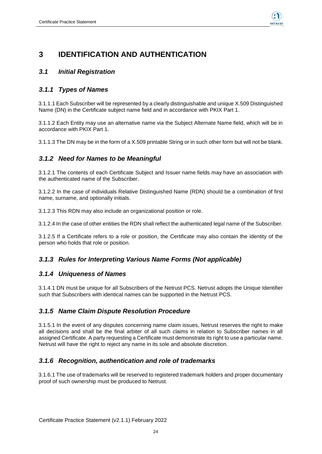

## <span id="page-23-0"></span>**3 IDENTIFICATION AND AUTHENTICATION**

### <span id="page-23-1"></span>*3.1 Initial Registration*

#### <span id="page-23-2"></span>*3.1.1 Types of Names*

3.1.1.1 Each Subscriber will be represented by a clearly distinguishable and unique X.509 Distinguished Name (DN) in the Certificate subject name field and in accordance with PKIX Part 1.

3.1.1.2 Each Entity may use an alternative name via the Subject Alternate Name field, which will be in accordance with PKIX Part 1.

3.1.1.3 The DN may be in the form of a X.509 printable String or in such other form but will not be blank.

### <span id="page-23-3"></span>*3.1.2 Need for Names to be Meaningful*

3.1.2.1 The contents of each Certificate Subject and Issuer name fields may have an association with the authenticated name of the Subscriber.

3.1.2.2 In the case of individuals Relative Distinguished Name (RDN) should be a combination of first name, surname, and optionally initials.

3.1.2.3 This RDN may also include an organizational position or role.

3.1.2.4 In the case of other entities the RDN shall reflect the authenticated legal name of the Subscriber.

3.1.2.5 If a Certificate refers to a role or position, the Certificate may also contain the identity of the person who holds that role or position.

### <span id="page-23-4"></span>*3.1.3 Rules for Interpreting Various Name Forms (Not applicable)*

#### <span id="page-23-5"></span>*3.1.4 Uniqueness of Names*

3.1.4.1 DN must be unique for all Subscribers of the Netrust PCS. Netrust adopts the Unique Identifier such that Subscribers with identical names can be supported in the Netrust PCS.

#### <span id="page-23-6"></span>*3.1.5 Name Claim Dispute Resolution Procedure*

3.1.5.1 In the event of any disputes concerning name claim issues, Netrust reserves the right to make all decisions and shall be the final arbiter of all such claims in relation to Subscriber names in all assigned Certificate. A party requesting a Certificate must demonstrate its right to use a particular name. Netrust will have the right to reject any name in its sole and absolute discretion.

#### <span id="page-23-7"></span>*3.1.6 Recognition, authentication and role of trademarks*

3.1.6.1 The use of trademarks will be reserved to registered trademark holders and proper documentary proof of such ownership must be produced to Netrust.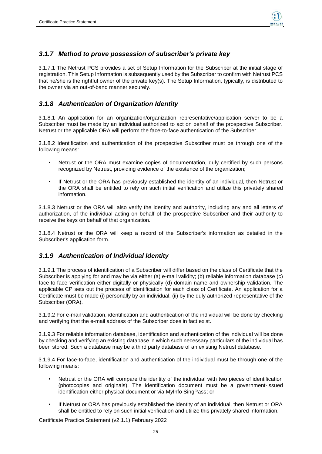

#### <span id="page-24-0"></span>*3.1.7 Method to prove possession of subscriber's private key*

3.1.7.1 The Netrust PCS provides a set of Setup Information for the Subscriber at the initial stage of registration. This Setup Information is subsequently used by the Subscriber to confirm with Netrust PCS that he/she is the rightful owner of the private key(s). The Setup Information, typically, is distributed to the owner via an out-of-band manner securely.

#### <span id="page-24-1"></span>*3.1.8 Authentication of Organization Identity*

3.1.8.1 An application for an organization/organization representative/application server to be a Subscriber must be made by an individual authorized to act on behalf of the prospective Subscriber. Netrust or the applicable ORA will perform the face-to-face authentication of the Subscriber.

3.1.8.2 Identification and authentication of the prospective Subscriber must be through one of the following means:

- Netrust or the ORA must examine copies of documentation, duly certified by such persons recognized by Netrust, providing evidence of the existence of the organization;
- If Netrust or the ORA has previously established the identity of an individual, then Netrust or the ORA shall be entitled to rely on such initial verification and utilize this privately shared information.

3.1.8.3 Netrust or the ORA will also verify the identity and authority, including any and all letters of authorization, of the individual acting on behalf of the prospective Subscriber and their authority to receive the keys on behalf of that organization.

3.1.8.4 Netrust or the ORA will keep a record of the Subscriber's information as detailed in the Subscriber's application form.

#### <span id="page-24-2"></span>*3.1.9 Authentication of Individual Identity*

3.1.9.1 The process of identification of a Subscriber will differ based on the class of Certificate that the Subscriber is applying for and may be via either (a) e-mail validity; (b) reliable information database (c) face-to-face verification either digitally or physically (d) domain name and ownership validation. The applicable CP sets out the process of identification for each class of Certificate. An application for a Certificate must be made (i) personally by an individual, (ii) by the duly authorized representative of the Subscriber (ORA).

3.1.9.2 For e-mail validation, identification and authentication of the individual will be done by checking and verifying that the e-mail address of the Subscriber does in fact exist.

3.1.9.3 For reliable information database, identification and authentication of the individual will be done by checking and verifying an existing database in which such necessary particulars of the individual has been stored. Such a database may be a third party database of an existing Netrust database.

3.1.9.4 For face-to-face, identification and authentication of the individual must be through one of the following means:

- Netrust or the ORA will compare the identity of the individual with two pieces of identification (photocopies and originals). The identification document must be a government-issued identification either physical document or via MyInfo SingPass; or
- If Netrust or ORA has previously established the identity of an individual, then Netrust or ORA shall be entitled to rely on such initial verification and utilize this privately shared information.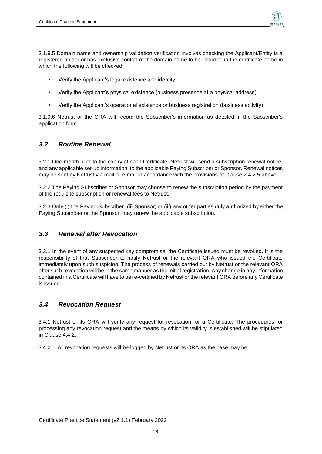

3.1.9.5 Domain name and ownership validation verification involves checking the Applicant/Entity is a registered holder or has exclusive control of the domain name to be included in the certificate name in which the following will be checked

- Verify the Applicant's legal existence and identity
- Verify the Applicant's physical existence (business presence at a physical address)
- Verify the Applicant's operational existence or business registration (business activity)

3.1.9.6 Netrust or the ORA will record the Subscriber's information as detailed in the Subscriber's application form.

#### <span id="page-25-0"></span>*3.2 Routine Renewal*

3.2.1 One month prior to the expiry of each Certificate, Netrust will send a subscription renewal notice, and any applicable set-up information, to the applicable Paying Subscriber or Sponsor. Renewal notices may be sent by Netrust via mail or e-mail in accordance with the provisions of Clause 2.4.2.5 above.

3.2.2 The Paying Subscriber or Sponsor may choose to renew the subscription period by the payment of the requisite subscription or renewal fees to Netrust.

3.2.3 Only (i) the Paying Subscriber, (ii) Sponsor; or (iii) any other parties duly authorized by either the Paying Subscriber or the Sponsor, may renew the applicable subscription.

#### <span id="page-25-1"></span>*3.3 Renewal after Revocation*

3.3.1 In the event of any suspected key compromise, the Certificate issued must be revoked. It is the responsibility of that Subscriber to notify Netrust or the relevant ORA who issued the Certificate immediately upon such suspicion. The process of renewals carried out by Netrust or the relevant ORA after such revocation will be in the same manner as the initial registration. Any change in any information contained in a Certificate will have to be re-certified by Netrust or the relevant ORA before any Certificate is issued.

#### <span id="page-25-2"></span>*3.4 Revocation Request*

3.4.1 Netrust or its ORA will verify any request for revocation for a Certificate. The procedures for processing any revocation request and the means by which its validity is established will be stipulated in Clause 4.4.2.

3.4.2 All revocation requests will be logged by Netrust or its ORA as the case may be.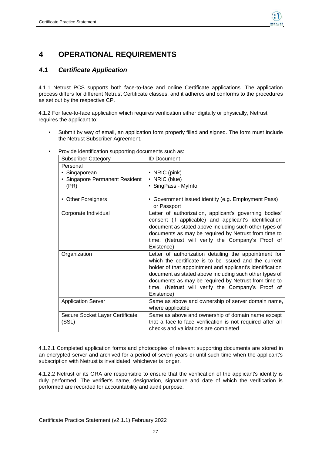

## <span id="page-26-0"></span>**4 OPERATIONAL REQUIREMENTS**

### <span id="page-26-1"></span>*4.1 Certificate Application*

4.1.1 Netrust PCS supports both face-to-face and online Certificate applications. The application process differs for different Netrust Certificate classes, and it adheres and conforms to the procedures as set out by the respective CP.

4.1.2 For face-to-face application which requires verification either digitally or physically, Netrust requires the applicant to:

• Submit by way of email, an application form properly filled and signed. The form must include the Netrust Subscriber Agreement.

| <b>Subscriber Category</b>                                          | <b>ID Document</b>                                                                                                                                                                                                                                                                                                                                               |
|---------------------------------------------------------------------|------------------------------------------------------------------------------------------------------------------------------------------------------------------------------------------------------------------------------------------------------------------------------------------------------------------------------------------------------------------|
| Personal<br>• Singaporean<br>• Singapore Permanent Resident<br>(PR) | $\cdot$ NRIC (pink)<br>• NRIC (blue)<br>• SingPass - MyInfo                                                                                                                                                                                                                                                                                                      |
| • Other Foreigners                                                  | • Government issued identity (e.g. Employment Pass)<br>or Passport                                                                                                                                                                                                                                                                                               |
| Corporate Individual                                                | Letter of authorization, applicant's governing bodies'<br>consent (if applicable) and applicant's identification<br>document as stated above including such other types of<br>documents as may be required by Netrust from time to<br>time. (Netrust will verify the Company's Proof of<br>Existence)                                                            |
| Organization                                                        | Letter of authorization detailing the appointment for<br>which the certificate is to be issued and the current<br>holder of that appointment and applicant's identification<br>document as stated above including such other types of<br>documents as may be required by Netrust from time to<br>time. (Netrust will verify the Company's Proof of<br>Existence) |
| <b>Application Server</b>                                           | Same as above and ownership of server domain name,<br>where applicable                                                                                                                                                                                                                                                                                           |
| Secure Socket Layer Certificate<br>(SSL)                            | Same as above and ownership of domain name except<br>that a face-to-face verification is not required after all<br>checks and validations are completed                                                                                                                                                                                                          |

• Provide identification supporting documents such as:

4.1.2.1 Completed application forms and photocopies of relevant supporting documents are stored in an encrypted server and archived for a period of seven years or until such time when the applicant's subscription with Netrust is invalidated, whichever is longer.

4.1.2.2 Netrust or its ORA are responsible to ensure that the verification of the applicant's identity is duly performed. The verifier's name, designation, signature and date of which the verification is performed are recorded for accountability and audit purpose.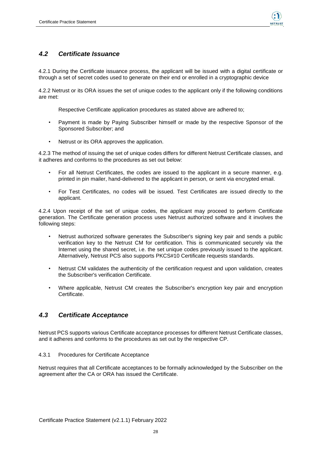

#### <span id="page-27-0"></span>*4.2 Certificate Issuance*

4.2.1 During the Certificate issuance process, the applicant will be issued with a digital certificate or through a set of secret codes used to generate on their end or enrolled in a cryptographic device

4.2.2 Netrust or its ORA issues the set of unique codes to the applicant only if the following conditions are met:

Respective Certificate application procedures as stated above are adhered to;

- Payment is made by Paying Subscriber himself or made by the respective Sponsor of the Sponsored Subscriber; and
- Netrust or its ORA approves the application.

4.2.3 The method of issuing the set of unique codes differs for different Netrust Certificate classes, and it adheres and conforms to the procedures as set out below:

- For all Netrust Certificates, the codes are issued to the applicant in a secure manner, e.g. printed in pin mailer, hand-delivered to the applicant in person, or sent via encrypted email.
- For Test Certificates, no codes will be issued. Test Certificates are issued directly to the applicant.

4.2.4 Upon receipt of the set of unique codes, the applicant may proceed to perform Certificate generation. The Certificate generation process uses Netrust authorized software and it involves the following steps:

- Netrust authorized software generates the Subscriber's signing key pair and sends a public verification key to the Netrust CM for certification. This is communicated securely via the Internet using the shared secret, i.e. the set unique codes previously issued to the applicant. Alternatively, Netrust PCS also supports PKCS#10 Certificate requests standards.
- Netrust CM validates the authenticity of the certification request and upon validation, creates the Subscriber's verification Certificate.
- Where applicable, Netrust CM creates the Subscriber's encryption key pair and encryption Certificate.

#### <span id="page-27-1"></span>*4.3 Certificate Acceptance*

Netrust PCS supports various Certificate acceptance processes for different Netrust Certificate classes, and it adheres and conforms to the procedures as set out by the respective CP.

#### 4.3.1 Procedures for Certificate Acceptance

Netrust requires that all Certificate acceptances to be formally acknowledged by the Subscriber on the agreement after the CA or ORA has issued the Certificate.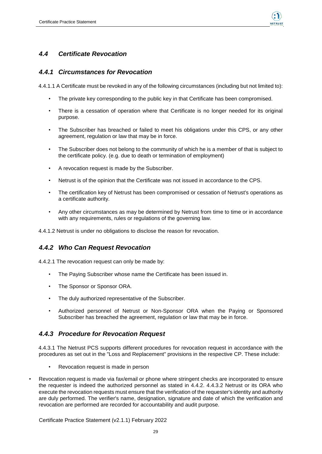

### <span id="page-28-0"></span>*4.4 Certificate Revocation*

#### <span id="page-28-1"></span>*4.4.1 Circumstances for Revocation*

4.4.1.1 A Certificate must be revoked in any of the following circumstances (including but not limited to):

- The private key corresponding to the public key in that Certificate has been compromised.
- There is a cessation of operation where that Certificate is no longer needed for its original purpose.
- The Subscriber has breached or failed to meet his obligations under this CPS, or any other agreement, regulation or law that may be in force.
- The Subscriber does not belong to the community of which he is a member of that is subject to the certificate policy. (e.g. due to death or termination of employment)
- A revocation request is made by the Subscriber.
- Netrust is of the opinion that the Certificate was not issued in accordance to the CPS.
- The certification key of Netrust has been compromised or cessation of Netrust's operations as a certificate authority.
- Any other circumstances as may be determined by Netrust from time to time or in accordance with any requirements, rules or regulations of the governing law.

4.4.1.2 Netrust is under no obligations to disclose the reason for revocation.

#### <span id="page-28-2"></span>*4.4.2 Who Can Request Revocation*

4.4.2.1 The revocation request can only be made by:

- The Paying Subscriber whose name the Certificate has been issued in.
- The Sponsor or Sponsor ORA.
- The duly authorized representative of the Subscriber.
- Authorized personnel of Netrust or Non-Sponsor ORA when the Paying or Sponsored Subscriber has breached the agreement, regulation or law that may be in force.

#### <span id="page-28-3"></span>*4.4.3 Procedure for Revocation Request*

4.4.3.1 The Netrust PCS supports different procedures for revocation request in accordance with the procedures as set out in the "Loss and Replacement" provisions in the respective CP. These include:

- Revocation request is made in person
- Revocation request is made via fax/email or phone where stringent checks are incorporated to ensure the requester is indeed the authorized personnel as stated in 4.4.2. 4.4.3.2 Netrust or its ORA who execute the revocation requests must ensure that the verification of the requester's identity and authority are duly performed. The verifier's name, designation, signature and date of which the verification and revocation are performed are recorded for accountability and audit purpose.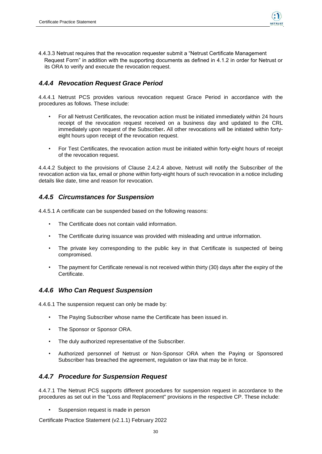

4.4.3.3 Netrust requires that the revocation requester submit a "Netrust Certificate Management Request Form" in addition with the supporting documents as defined in 4.1.2 in order for Netrust or its ORA to verify and execute the revocation request.

### <span id="page-29-0"></span>*4.4.4 Revocation Request Grace Period*

4.4.4.1 Netrust PCS provides various revocation request Grace Period in accordance with the procedures as follows. These include:

- For all Netrust Certificates, the revocation action must be initiated immediately within 24 hours receipt of the revocation request received on a business day and updated to the CRL immediately upon request of the Subscriber**.** All other revocations will be initiated within fortyeight hours upon receipt of the revocation request.
- For Test Certificates, the revocation action must be initiated within forty-eight hours of receipt of the revocation request.

4.4.4.2 Subject to the provisions of Clause 2.4.2.4 above, Netrust will notify the Subscriber of the revocation action via fax, email or phone within forty-eight hours of such revocation in a notice including details like date, time and reason for revocation.

#### <span id="page-29-1"></span>*4.4.5 Circumstances for Suspension*

4.4.5.1 A certificate can be suspended based on the following reasons:

- The Certificate does not contain valid information.
- The Certificate during issuance was provided with misleading and untrue information.
- The private key corresponding to the public key in that Certificate is suspected of being compromised.
- The payment for Certificate renewal is not received within thirty (30) days after the expiry of the Certificate.

#### <span id="page-29-2"></span>*4.4.6 Who Can Request Suspension*

4.4.6.1 The suspension request can only be made by:

- The Paying Subscriber whose name the Certificate has been issued in.
- The Sponsor or Sponsor ORA.
- The duly authorized representative of the Subscriber.
- Authorized personnel of Netrust or Non-Sponsor ORA when the Paying or Sponsored Subscriber has breached the agreement, regulation or law that may be in force.

#### <span id="page-29-3"></span>*4.4.7 Procedure for Suspension Request*

4.4.7.1 The Netrust PCS supports different procedures for suspension request in accordance to the procedures as set out in the "Loss and Replacement" provisions in the respective CP. These include:

Suspension request is made in person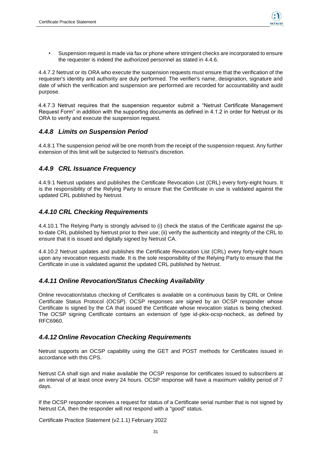

• Suspension request is made via fax or phone where stringent checks are incorporated to ensure the requester is indeed the authorized personnel as stated in 4.4.6.

4.4.7.2 Netrust or its ORA who execute the suspension requests must ensure that the verification of the requester's identity and authority are duly performed. The verifier's name, designation, signature and date of which the verification and suspension are performed are recorded for accountability and audit purpose.

4.4.7.3 Netrust requires that the suspension requestor submit a "Netrust Certificate Management Request Form" in addition with the supporting documents as defined in 4.1.2 in order for Netrust or its ORA to verify and execute the suspension request.

#### <span id="page-30-0"></span>*4.4.8 Limits on Suspension Period*

4.4.8.1 The suspension period will be one month from the receipt of the suspension request. Any further extension of this limit will be subjected to Netrust's discretion.

### <span id="page-30-1"></span>*4.4.9 CRL Issuance Frequency*

4.4.9.1 Netrust updates and publishes the Certificate Revocation List (CRL) every forty-eight hours. It is the responsibility of the Relying Party to ensure that the Certificate in use is validated against the updated CRL published by Netrust.

### <span id="page-30-2"></span>*4.4.10 CRL Checking Requirements*

4.4.10.1 The Relying Party is strongly advised to (i) check the status of the Certificate against the upto-date CRL published by Netrust prior to their use; (ii) verify the authenticity and integrity of the CRL to ensure that it is issued and digitally signed by Netrust CA.

4.4.10.2 Netrust updates and publishes the Certificate Revocation List (CRL) every forty-eight hours upon any revocation requests made. It is the sole responsibility of the Relying Party to ensure that the Certificate in use is validated against the updated CRL published by Netrust.

#### <span id="page-30-3"></span>*4.4.11 Online Revocation/Status Checking Availability*

Online revocation/status checking of Certificates is available on a continuous basis by CRL or Online Certificate Status Protocol (OCSP). OCSP responses are signed by an OCSP responder whose Certificate is signed by the CA that issued the Certificate whose revocation status is being checked. The OCSP signing Certificate contains an extension of type id-pkix-ocsp-nocheck, as defined by RFC6960.

#### <span id="page-30-4"></span>*4.4.12 Online Revocation Checking Requirements*

Netrust supports an OCSP capability using the GET and POST methods for Certificates issued in accordance with this CPS.

Netrust CA shall sign and make available the OCSP response for certificates issued to subscribers at an interval of at least once every 24 hours. OCSP response will have a maximum validity period of 7 days.

If the OCSP responder receives a request for status of a Certificate serial number that is not signed by Netrust CA, then the responder will not respond with a "good" status.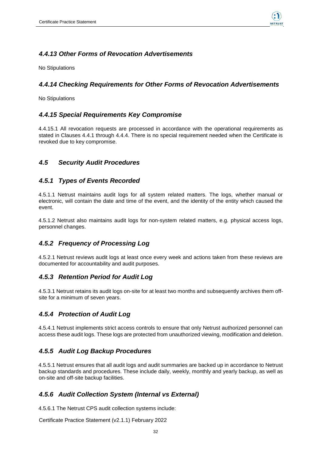

### <span id="page-31-0"></span>*4.4.13 Other Forms of Revocation Advertisements*

No Stipulations

### <span id="page-31-1"></span>*4.4.14 Checking Requirements for Other Forms of Revocation Advertisements*

No Stipulations

### <span id="page-31-2"></span>*4.4.15 Special Requirements Key Compromise*

4.4.15.1 All revocation requests are processed in accordance with the operational requirements as stated in Clauses 4.4.1 through 4.4.4. There is no special requirement needed when the Certificate is revoked due to key compromise.

### <span id="page-31-3"></span>*4.5 Security Audit Procedures*

#### <span id="page-31-4"></span>*4.5.1 Types of Events Recorded*

4.5.1.1 Netrust maintains audit logs for all system related matters. The logs, whether manual or electronic, will contain the date and time of the event, and the identity of the entity which caused the event.

4.5.1.2 Netrust also maintains audit logs for non-system related matters, e.g. physical access logs, personnel changes.

### <span id="page-31-5"></span>*4.5.2 Frequency of Processing Log*

4.5.2.1 Netrust reviews audit logs at least once every week and actions taken from these reviews are documented for accountability and audit purposes.

#### <span id="page-31-6"></span>*4.5.3 Retention Period for Audit Log*

4.5.3.1 Netrust retains its audit logs on-site for at least two months and subsequently archives them offsite for a minimum of seven years.

### <span id="page-31-7"></span>*4.5.4 Protection of Audit Log*

4.5.4.1 Netrust implements strict access controls to ensure that only Netrust authorized personnel can access these audit logs. These logs are protected from unauthorized viewing, modification and deletion.

### <span id="page-31-8"></span>*4.5.5 Audit Log Backup Procedures*

4.5.5.1 Netrust ensures that all audit logs and audit summaries are backed up in accordance to Netrust backup standards and procedures. These include daily, weekly, monthly and yearly backup, as well as on-site and off-site backup facilities.

### <span id="page-31-9"></span>*4.5.6 Audit Collection System (Internal vs External)*

4.5.6.1 The Netrust CPS audit collection systems include: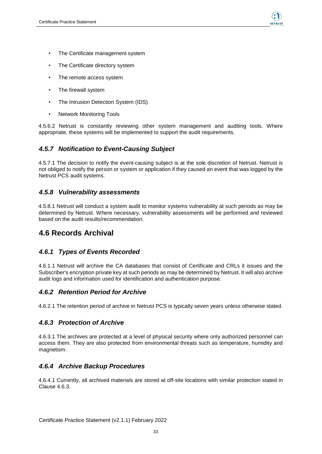

- The Certificate management system
- The Certificate directory system
- The remote access system
- The firewall system
- The Intrusion Detection System (IDS)
- Network Monitoring Tools

4.5.6.2 Netrust is constantly reviewing other system management and auditing tools. Where appropriate, these systems will be implemented to support the audit requirements.

#### <span id="page-32-0"></span>*4.5.7 Notification to Event-Causing Subject*

4.5.7.1 The decision to notify the event-causing subject is at the sole discretion of Netrust. Netrust is not obliged to notify the person or system or application if they caused an event that was logged by the Netrust PCS audit systems.

#### <span id="page-32-1"></span>*4.5.8 Vulnerability assessments*

4.5.8.1 Netrust will conduct a system audit to monitor systems vulnerability at such periods as may be determined by Netrust. Where necessary, vulnerability assessments will be performed and reviewed based on the audit results/recommendation.

### <span id="page-32-2"></span>**4.6 Records Archival**

#### <span id="page-32-3"></span>*4.6.1 Types of Events Recorded*

4.6.1.1 Netrust will archive the CA databases that consist of Certificate and CRLs it issues and the Subscriber's encryption private key at such periods as may be determined by Netrust. It will also archive audit logs and information used for identification and authentication purpose.

#### <span id="page-32-4"></span>*4.6.2 Retention Period for Archive*

4.6.2.1 The retention period of archive in Netrust PCS is typically seven years unless otherwise stated.

#### <span id="page-32-5"></span>*4.6.3 Protection of Archive*

4.6.3.1 The archives are protected at a level of physical security where only authorized personnel can access them. They are also protected from environmental threats such as temperature, humidity and magnetism.

#### <span id="page-32-6"></span>*4.6.4 Archive Backup Procedures*

4.6.4.1 Currently, all archived materials are stored at off-site locations with similar protection stated in Clause 4.6.3.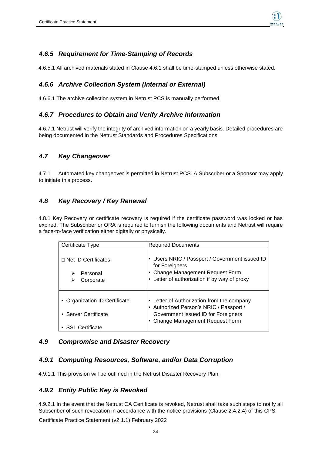

#### <span id="page-33-0"></span>*4.6.5 Requirement for Time-Stamping of Records*

4.6.5.1 All archived materials stated in Clause 4.6.1 shall be time-stamped unless otherwise stated.

### <span id="page-33-1"></span>*4.6.6 Archive Collection System (Internal or External)*

4.6.6.1 The archive collection system in Netrust PCS is manually performed.

### <span id="page-33-2"></span>*4.6.7 Procedures to Obtain and Verify Archive Information*

4.6.7.1 Netrust will verify the integrity of archived information on a yearly basis. Detailed procedures are being documented in the Netrust Standards and Procedures Specifications.

### <span id="page-33-3"></span>*4.7 Key Changeover*

4.7.1 Automated key changeover is permitted in Netrust PCS. A Subscriber or a Sponsor may apply to initiate this process.

### <span id="page-33-4"></span>*4.8 Key Recovery / Key Renewal*

4.8.1 Key Recovery or certificate recovery is required if the certificate password was locked or has expired. The Subscriber or ORA is required to furnish the following documents and Netrust will require a face-to-face verification either digitally or physically.

| Certificate Type                                      | <b>Required Documents</b>                                                                                                                                    |
|-------------------------------------------------------|--------------------------------------------------------------------------------------------------------------------------------------------------------------|
| □ Net ID Certificates<br>Personal<br>Corporate        | • Users NRIC / Passport / Government issued ID<br>for Foreigners<br>• Change Management Request Form<br>• Letter of authorization if by way of proxy         |
| • Organization ID Certificate<br>• Server Certificate | • Letter of Authorization from the company<br>Authorized Person's NRIC / Passport /<br>Government issued ID for Foreigners<br>Change Management Request Form |
| <b>SSL Certificate</b>                                |                                                                                                                                                              |

#### <span id="page-33-5"></span>*4.9 Compromise and Disaster Recovery*

#### <span id="page-33-6"></span>*4.9.1 Computing Resources, Software, and/or Data Corruption*

4.9.1.1 This provision will be outlined in the Netrust Disaster Recovery Plan.

#### <span id="page-33-7"></span>*4.9.2 Entity Public Key is Revoked*

4.9.2.1 In the event that the Netrust CA Certificate is revoked, Netrust shall take such steps to notify all Subscriber of such revocation in accordance with the notice provisions (Clause 2.4.2.4) of this CPS.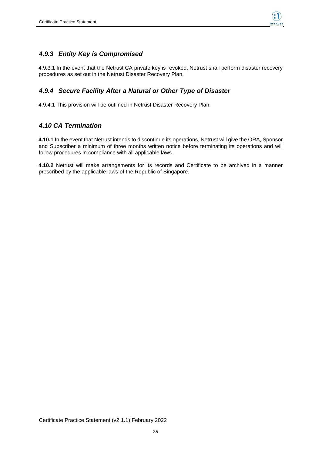

### <span id="page-34-0"></span>*4.9.3 Entity Key is Compromised*

4.9.3.1 In the event that the Netrust CA private key is revoked, Netrust shall perform disaster recovery procedures as set out in the Netrust Disaster Recovery Plan.

### <span id="page-34-1"></span>*4.9.4 Secure Facility After a Natural or Other Type of Disaster*

4.9.4.1 This provision will be outlined in Netrust Disaster Recovery Plan.

#### <span id="page-34-2"></span>*4.10 CA Termination*

**4.10.1** In the event that Netrust intends to discontinue its operations, Netrust will give the ORA, Sponsor and Subscriber a minimum of three months written notice before terminating its operations and will follow procedures in compliance with all applicable laws.

**4.10.2** Netrust will make arrangements for its records and Certificate to be archived in a manner prescribed by the applicable laws of the Republic of Singapore.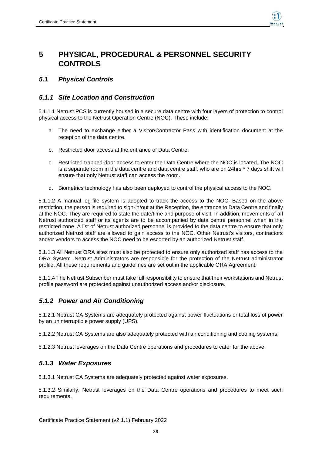

## <span id="page-35-0"></span>**5 PHYSICAL, PROCEDURAL & PERSONNEL SECURITY CONTROLS**

### <span id="page-35-1"></span>*5.1 Physical Controls*

### <span id="page-35-2"></span>*5.1.1 Site Location and Construction*

5.1.1.1 Netrust PCS is currently housed in a secure data centre with four layers of protection to control physical access to the Netrust Operation Centre (NOC). These include:

- a. The need to exchange either a Visitor/Contractor Pass with identification document at the reception of the data centre.
- b. Restricted door access at the entrance of Data Centre.
- c. Restricted trapped-door access to enter the Data Centre where the NOC is located. The NOC is a separate room in the data centre and data centre staff, who are on 24hrs \* 7 days shift will ensure that only Netrust staff can access the room.
- d. Biometrics technology has also been deployed to control the physical access to the NOC.

5.1.1.2 A manual log-file system is adopted to track the access to the NOC. Based on the above restriction, the person is required to sign-in/out at the Reception, the entrance to Data Centre and finally at the NOC. They are required to state the date/time and purpose of visit. In addition, movements of all Netrust authorized staff or its agents are to be accompanied by data centre personnel when in the restricted zone. A list of Netrust authorized personnel is provided to the data centre to ensure that only authorized Netrust staff are allowed to gain access to the NOC. Other Netrust's visitors, contractors and/or vendors to access the NOC need to be escorted by an authorized Netrust staff.

5.1.1.3 All Netrust ORA sites must also be protected to ensure only authorized staff has access to the ORA System. Netrust Administrators are responsible for the protection of the Netrust administrator profile. All these requirements and guidelines are set out in the applicable ORA Agreement.

5.1.1.4 The Netrust Subscriber must take full responsibility to ensure that their workstations and Netrust profile password are protected against unauthorized access and/or disclosure.

### <span id="page-35-3"></span>*5.1.2 Power and Air Conditioning*

5.1.2.1 Netrust CA Systems are adequately protected against power fluctuations or total loss of power by an uninterruptible power supply (UPS).

5.1.2.2 Netrust CA Systems are also adequately protected with air conditioning and cooling systems.

5.1.2.3 Netrust leverages on the Data Centre operations and procedures to cater for the above.

#### <span id="page-35-4"></span>*5.1.3 Water Exposures*

5.1.3.1 Netrust CA Systems are adequately protected against water exposures.

5.1.3.2 Similarly, Netrust leverages on the Data Centre operations and procedures to meet such requirements.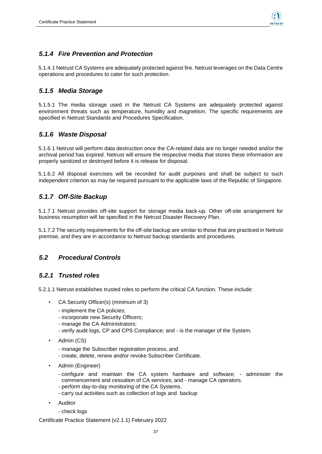

### <span id="page-36-0"></span>*5.1.4 Fire Prevention and Protection*

5.1.4.1 Netrust CA Systems are adequately protected against fire. Netrust leverages on the Data Centre operations and procedures to cater for such protection.

#### <span id="page-36-1"></span>*5.1.5 Media Storage*

5.1.5.1 The media storage used in the Netrust CA Systems are adequately protected against environment threats such as temperature, humidity and magnetism. The specific requirements are specified in Netrust Standards and Procedures Specification.

### <span id="page-36-2"></span>*5.1.6 Waste Disposal*

5.1.6.1 Netrust will perform data destruction once the CA-related data are no longer needed and/or the archival period has expired. Netrust will ensure the respective media that stores these information are properly sanitized or destroyed before it is release for disposal.

5.1.6.2 All disposal exercises will be recorded for audit purposes and shall be subject to such independent criterion as may be required pursuant to the applicable laws of the Republic of Singapore.

#### <span id="page-36-3"></span>*5.1.7 Off-Site Backup*

5.1.7.1 Netrust provides off-site support for storage media back-up. Other off-site arrangement for business resumption will be specified in the Netrust Disaster Recovery Plan.

5.1.7.2 The security requirements for the off-site backup are similar to those that are practiced in Netrust premise, and they are in accordance to Netrust backup standards and procedures.

#### <span id="page-36-4"></span>*5.2 Procedural Controls*

#### <span id="page-36-5"></span>*5.2.1 Trusted roles*

5.2.1.1 Netrust establishes trusted roles to perform the critical CA function. These include:

- CA Security Officer(s) (minimum of 3)
	- implement the CA policies;
	- incorporate new Security Officers;
	- manage the CA Administrators;
	- verify audit logs, CP and CPS Compliance; and is the manager of the System.
- Admin (CS)
	- manage the Subscriber registration process; and
	- create, delete, renew and/or revoke Subscriber Certificate.
- Admin (Engineer)
	- configure and maintain the CA system hardware and software; administer the commencement and cessation of CA services; and - manage CA operators.
	- perform day-to-day monitoring of the CA Systems.
	- carry out activities such as collection of logs and backup
- **Auditor** 
	- check logs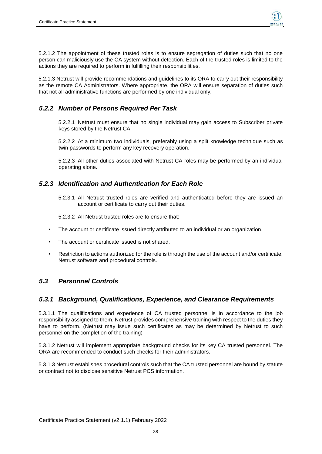

5.2.1.2 The appointment of these trusted roles is to ensure segregation of duties such that no one person can maliciously use the CA system without detection. Each of the trusted roles is limited to the actions they are required to perform in fulfilling their responsibilities.

5.2.1.3 Netrust will provide recommendations and guidelines to its ORA to carry out their responsibility as the remote CA Administrators. Where appropriate, the ORA will ensure separation of duties such that not all administrative functions are performed by one individual only.

### <span id="page-37-0"></span>*5.2.2 Number of Persons Required Per Task*

5.2.2.1 Netrust must ensure that no single individual may gain access to Subscriber private keys stored by the Netrust CA.

5.2.2.2 At a minimum two individuals, preferably using a split knowledge technique such as twin passwords to perform any key recovery operation.

5.2.2.3 All other duties associated with Netrust CA roles may be performed by an individual operating alone.

#### <span id="page-37-1"></span>*5.2.3 Identification and Authentication for Each Role*

5.2.3.1 All Netrust trusted roles are verified and authenticated before they are issued an account or certificate to carry out their duties.

5.2.3.2 All Netrust trusted roles are to ensure that:

- The account or certificate issued directly attributed to an individual or an organization.
- The account or certificate issued is not shared.
- Restriction to actions authorized for the role is through the use of the account and/or certificate, Netrust software and procedural controls.

#### <span id="page-37-2"></span>*5.3 Personnel Controls*

#### <span id="page-37-3"></span>*5.3.1 Background, Qualifications, Experience, and Clearance Requirements*

5.3.1.1 The qualifications and experience of CA trusted personnel is in accordance to the job responsibility assigned to them. Netrust provides comprehensive training with respect to the duties they have to perform. (Netrust may issue such certificates as may be determined by Netrust to such personnel on the completion of the training)

5.3.1.2 Netrust will implement appropriate background checks for its key CA trusted personnel. The ORA are recommended to conduct such checks for their administrators.

5.3.1.3 Netrust establishes procedural controls such that the CA trusted personnel are bound by statute or contract not to disclose sensitive Netrust PCS information.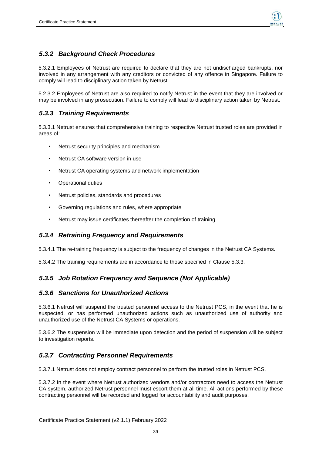

### <span id="page-38-0"></span>*5.3.2 Background Check Procedures*

5.3.2.1 Employees of Netrust are required to declare that they are not undischarged bankrupts, nor involved in any arrangement with any creditors or convicted of any offence in Singapore. Failure to comply will lead to disciplinary action taken by Netrust.

5.2.3.2 Employees of Netrust are also required to notify Netrust in the event that they are involved or may be involved in any prosecution. Failure to comply will lead to disciplinary action taken by Netrust.

### <span id="page-38-1"></span>*5.3.3 Training Requirements*

5.3.3.1 Netrust ensures that comprehensive training to respective Netrust trusted roles are provided in areas of:

- Netrust security principles and mechanism
- Netrust CA software version in use
- Netrust CA operating systems and network implementation
- Operational duties
- Netrust policies, standards and procedures
- Governing regulations and rules, where appropriate
- Netrust may issue certificates thereafter the completion of training

#### <span id="page-38-2"></span>*5.3.4 Retraining Frequency and Requirements*

5.3.4.1 The re-training frequency is subject to the frequency of changes in the Netrust CA Systems.

5.3.4.2 The training requirements are in accordance to those specified in Clause 5.3.3.

#### <span id="page-38-3"></span>*5.3.5 Job Rotation Frequency and Sequence (Not Applicable)*

#### <span id="page-38-4"></span>*5.3.6 Sanctions for Unauthorized Actions*

5.3.6.1 Netrust will suspend the trusted personnel access to the Netrust PCS, in the event that he is suspected, or has performed unauthorized actions such as unauthorized use of authority and unauthorized use of the Netrust CA Systems or operations.

5.3.6.2 The suspension will be immediate upon detection and the period of suspension will be subject to investigation reports.

#### <span id="page-38-5"></span>*5.3.7 Contracting Personnel Requirements*

5.3.7.1 Netrust does not employ contract personnel to perform the trusted roles in Netrust PCS.

5.3.7.2 In the event where Netrust authorized vendors and/or contractors need to access the Netrust CA system, authorized Netrust personnel must escort them at all time. All actions performed by these contracting personnel will be recorded and logged for accountability and audit purposes.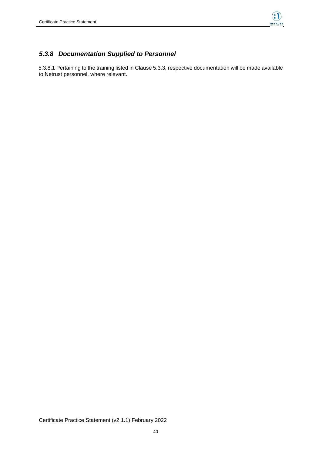

### <span id="page-39-0"></span>*5.3.8 Documentation Supplied to Personnel*

5.3.8.1 Pertaining to the training listed in Clause 5.3.3, respective documentation will be made available to Netrust personnel, where relevant.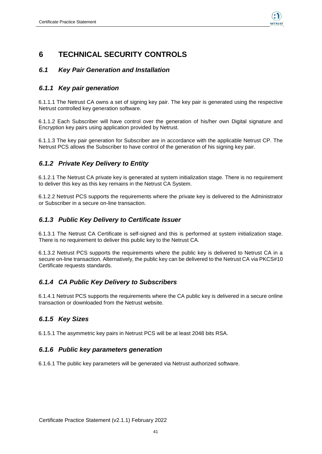

## <span id="page-40-0"></span>**6 TECHNICAL SECURITY CONTROLS**

#### <span id="page-40-1"></span>*6.1 Key Pair Generation and Installation*

#### <span id="page-40-2"></span>*6.1.1 Key pair generation*

6.1.1.1 The Netrust CA owns a set of signing key pair. The key pair is generated using the respective Netrust controlled key generation software.

6.1.1.2 Each Subscriber will have control over the generation of his/her own Digital signature and Encryption key pairs using application provided by Netrust.

6.1.1.3 The key pair generation for Subscriber are in accordance with the applicable Netrust CP. The Netrust PCS allows the Subscriber to have control of the generation of his signing key pair.

#### <span id="page-40-3"></span>*6.1.2 Private Key Delivery to Entity*

6.1.2.1 The Netrust CA private key is generated at system initialization stage. There is no requirement to deliver this key as this key remains in the Netrust CA System.

6.1.2.2 Netrust PCS supports the requirements where the private key is delivered to the Administrator or Subscriber in a secure on-line transaction.

#### <span id="page-40-4"></span>*6.1.3 Public Key Delivery to Certificate Issuer*

6.1.3.1 The Netrust CA Certificate is self-signed and this is performed at system initialization stage. There is no requirement to deliver this public key to the Netrust CA.

6.1.3.2 Netrust PCS supports the requirements where the public key is delivered to Netrust CA in a secure on-line transaction. Alternatively, the public key can be delivered to the Netrust CA via PKCS#10 Certificate requests standards.

### <span id="page-40-5"></span>*6.1.4 CA Public Key Delivery to Subscribers*

6.1.4.1 Netrust PCS supports the requirements where the CA public key is delivered in a secure online transaction or downloaded from the Netrust website.

#### <span id="page-40-6"></span>*6.1.5 Key Sizes*

6.1.5.1 The asymmetric key pairs in Netrust PCS will be at least 2048 bits RSA.

#### <span id="page-40-7"></span>*6.1.6 Public key parameters generation*

6.1.6.1 The public key parameters will be generated via Netrust authorized software.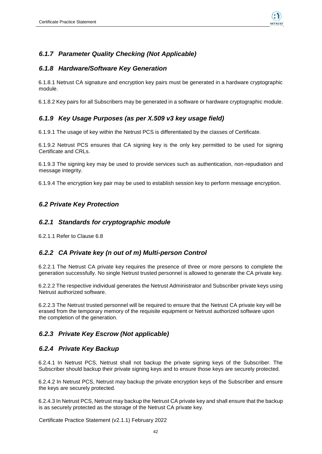

### <span id="page-41-0"></span>*6.1.7 Parameter Quality Checking (Not Applicable)*

#### <span id="page-41-1"></span>*6.1.8 Hardware/Software Key Generation*

6.1.8.1 Netrust CA signature and encryption key pairs must be generated in a hardware cryptographic module.

6.1.8.2 Key pairs for all Subscribers may be generated in a software or hardware cryptographic module.

### <span id="page-41-2"></span>*6.1.9 Key Usage Purposes (as per X.509 v3 key usage field)*

6.1.9.1 The usage of key within the Netrust PCS is differentiated by the classes of Certificate.

6.1.9.2 Netrust PCS ensures that CA signing key is the only key permitted to be used for signing Certificate and CRLs.

6.1.9.3 The signing key may be used to provide services such as authentication, non-repudiation and message integrity.

6.1.9.4 The encryption key pair may be used to establish session key to perform message encryption.

#### <span id="page-41-3"></span>*6.2 Private Key Protection*

#### <span id="page-41-4"></span>*6.2.1 Standards for cryptographic module*

6.2.1.1 Refer to Clause 6.8

#### <span id="page-41-5"></span>*6.2.2 CA Private key (n out of m) Multi-person Control*

6.2.2.1 The Netrust CA private key requires the presence of three or more persons to complete the generation successfully. No single Netrust trusted personnel is allowed to generate the CA private key.

6.2.2.2 The respective individual generates the Netrust Administrator and Subscriber private keys using Netrust authorized software.

6.2.2.3 The Netrust trusted personnel will be required to ensure that the Netrust CA private key will be erased from the temporary memory of the requisite equipment or Netrust authorized software upon the completion of the generation.

#### <span id="page-41-6"></span>*6.2.3 Private Key Escrow (Not applicable)*

#### <span id="page-41-7"></span>*6.2.4 Private Key Backup*

6.2.4.1 In Netrust PCS, Netrust shall not backup the private signing keys of the Subscriber. The Subscriber should backup their private signing keys and to ensure those keys are securely protected.

6.2.4.2 In Netrust PCS, Netrust may backup the private encryption keys of the Subscriber and ensure the keys are securely protected.

6.2.4.3 In Netrust PCS, Netrust may backup the Netrust CA private key and shall ensure that the backup is as securely protected as the storage of the Netrust CA private key.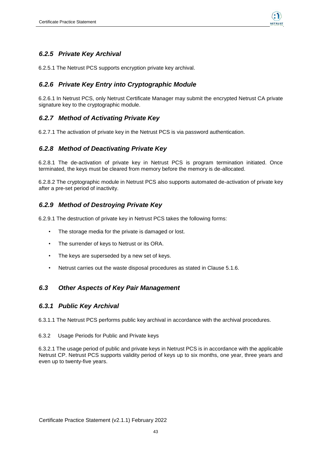

### <span id="page-42-0"></span>*6.2.5 Private Key Archival*

6.2.5.1 The Netrust PCS supports encryption private key archival.

### <span id="page-42-1"></span>*6.2.6 Private Key Entry into Cryptographic Module*

6.2.6.1 In Netrust PCS, only Netrust Certificate Manager may submit the encrypted Netrust CA private signature key to the cryptographic module.

### <span id="page-42-2"></span>*6.2.7 Method of Activating Private Key*

6.2.7.1 The activation of private key in the Netrust PCS is via password authentication.

#### <span id="page-42-3"></span>*6.2.8 Method of Deactivating Private Key*

6.2.8.1 The de-activation of private key in Netrust PCS is program termination initiated. Once terminated, the keys must be cleared from memory before the memory is de-allocated.

6.2.8.2 The cryptographic module in Netrust PCS also supports automated de-activation of private key after a pre-set period of inactivity.

#### <span id="page-42-4"></span>*6.2.9 Method of Destroying Private Key*

6.2.9.1 The destruction of private key in Netrust PCS takes the following forms:

- The storage media for the private is damaged or lost.
- The surrender of keys to Netrust or its ORA.
- The keys are superseded by a new set of keys.
- Netrust carries out the waste disposal procedures as stated in Clause 5.1.6.

#### <span id="page-42-5"></span>*6.3 Other Aspects of Key Pair Management*

#### <span id="page-42-6"></span>*6.3.1 Public Key Archival*

6.3.1.1 The Netrust PCS performs public key archival in accordance with the archival procedures.

#### 6.3.2 Usage Periods for Public and Private keys

6.3.2.1 The usage period of public and private keys in Netrust PCS is in accordance with the applicable Netrust CP. Netrust PCS supports validity period of keys up to six months, one year, three years and even up to twenty-five years.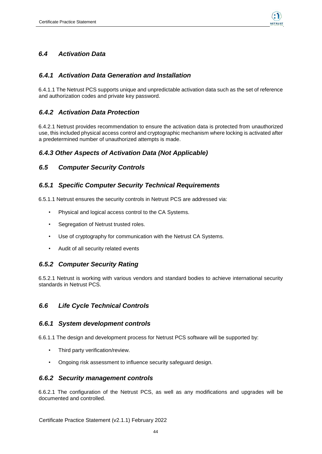

### *6.4 Activation Data*

#### <span id="page-43-0"></span>*6.4.1 Activation Data Generation and Installation*

6.4.1.1 The Netrust PCS supports unique and unpredictable activation data such as the set of reference and authorization codes and private key password.

#### <span id="page-43-1"></span>*6.4.2 Activation Data Protection*

6.4.2.1 Netrust provides recommendation to ensure the activation data is protected from unauthorized use, this included physical access control and cryptographic mechanism where locking is activated after a predetermined number of unauthorized attempts is made.

#### <span id="page-43-2"></span>*6.4.3 Other Aspects of Activation Data (Not Applicable)*

#### <span id="page-43-3"></span>*6.5 Computer Security Controls*

#### <span id="page-43-4"></span>*6.5.1 Specific Computer Security Technical Requirements*

6.5.1.1 Netrust ensures the security controls in Netrust PCS are addressed via:

- Physical and logical access control to the CA Systems.
- Segregation of Netrust trusted roles.
- Use of cryptography for communication with the Netrust CA Systems.
- Audit of all security related events

#### <span id="page-43-5"></span>*6.5.2 Computer Security Rating*

6.5.2.1 Netrust is working with various vendors and standard bodies to achieve international security standards in Netrust PCS.

#### <span id="page-43-6"></span>*6.6 Life Cycle Technical Controls*

#### <span id="page-43-7"></span>*6.6.1 System development controls*

6.6.1.1 The design and development process for Netrust PCS software will be supported by:

- Third party verification/review.
- Ongoing risk assessment to influence security safeguard design.

#### <span id="page-43-8"></span>*6.6.2 Security management controls*

6.6.2.1 The configuration of the Netrust PCS, as well as any modifications and upgrades will be documented and controlled.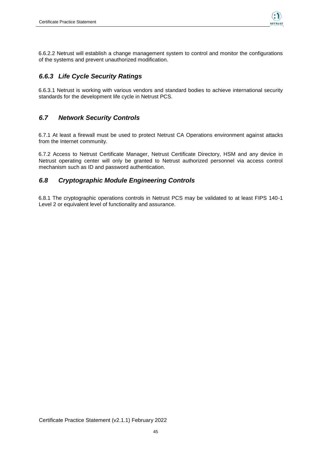

6.6.2.2 Netrust will establish a change management system to control and monitor the configurations of the systems and prevent unauthorized modification.

### <span id="page-44-0"></span>*6.6.3 Life Cycle Security Ratings*

6.6.3.1 Netrust is working with various vendors and standard bodies to achieve international security standards for the development life cycle in Netrust PCS.

#### <span id="page-44-1"></span>*6.7 Network Security Controls*

6.7.1 At least a firewall must be used to protect Netrust CA Operations environment against attacks from the Internet community.

6.7.2 Access to Netrust Certificate Manager, Netrust Certificate Directory, HSM and any device in Netrust operating center will only be granted to Netrust authorized personnel via access control mechanism such as ID and password authentication.

#### <span id="page-44-2"></span>*6.8 Cryptographic Module Engineering Controls*

6.8.1 The cryptographic operations controls in Netrust PCS may be validated to at least FIPS 140-1 Level 2 or equivalent level of functionality and assurance.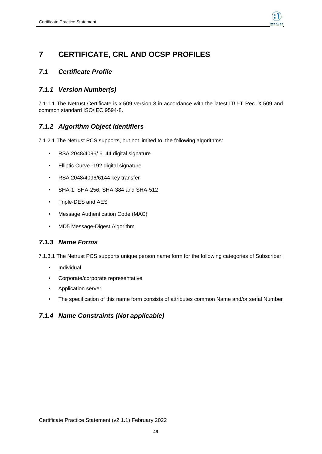

## <span id="page-45-0"></span>**7 CERTIFICATE, CRL AND OCSP PROFILES**

#### <span id="page-45-1"></span>*7.1 Certificate Profile*

### <span id="page-45-2"></span>*7.1.1 Version Number(s)*

7.1.1.1 The Netrust Certificate is x.509 version 3 in accordance with the latest ITU-T Rec. X.509 and common standard ISO/IEC 9594-8.

### <span id="page-45-3"></span>*7.1.2 Algorithm Object Identifiers*

7.1.2.1 The Netrust PCS supports, but not limited to, the following algorithms:

- RSA 2048/4096/ 6144 digital signature
- Elliptic Curve -192 digital signature
- RSA 2048/4096/6144 key transfer
- SHA-1, SHA-256, SHA-384 and SHA-512
- Triple-DES and AES
- Message Authentication Code (MAC)
- MD5 Message-Digest Algorithm

#### <span id="page-45-4"></span>*7.1.3 Name Forms*

7.1.3.1 The Netrust PCS supports unique person name form for the following categories of Subscriber:

- Individual
- Corporate/corporate representative
- Application server
- The specification of this name form consists of attributes common Name and/or serial Number

#### <span id="page-45-5"></span>*7.1.4 Name Constraints (Not applicable)*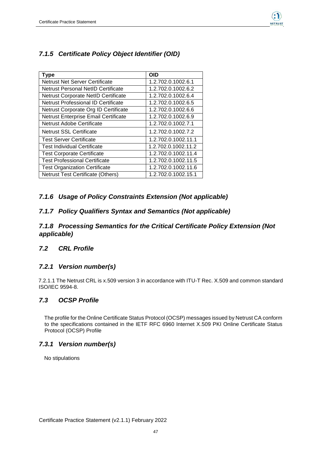

### <span id="page-46-0"></span>*7.1.5 Certificate Policy Object Identifier (OID)*

| <b>Type</b>                                | <b>OID</b>          |
|--------------------------------------------|---------------------|
| Netrust Net Server Certificate             | 1.2.702.0.1002.6.1  |
| Netrust Personal NetID Certificate         | 1.2.702.0.1002.6.2  |
| Netrust Corporate NetID Certificate        | 1.2.702.0.1002.6.4  |
| <b>Netrust Professional ID Certificate</b> | 1.2.702.0.1002.6.5  |
| Netrust Corporate Org ID Certificate       | 1.2.702.0.1002.6.6  |
| Netrust Enterprise Email Certificate       | 1.2.702.0.1002.6.9  |
| <b>Netrust Adobe Certificate</b>           | 1.2.702.0.1002.7.1  |
| <b>Netrust SSL Certificate</b>             | 1.2.702.0.1002.7.2  |
| <b>Test Server Certificate</b>             | 1.2.702.0.1002.11.1 |
| <b>Test Individual Certificate</b>         | 1.2.702.0.1002.11.2 |
| <b>Test Corporate Certificate</b>          | 1.2.702.0.1002.11.4 |
| <b>Test Professional Certificate</b>       | 1.2.702.0.1002.11.5 |
| <b>Test Organization Certificate</b>       | 1.2.702.0.1002.11.6 |
| <b>Netrust Test Certificate (Others)</b>   | 1.2.702.0.1002.15.1 |

#### <span id="page-46-1"></span>*7.1.6 Usage of Policy Constraints Extension (Not applicable)*

#### <span id="page-46-2"></span>*7.1.7 Policy Qualifiers Syntax and Semantics (Not applicable)*

#### <span id="page-46-3"></span>*7.1.8 Processing Semantics for the Critical Certificate Policy Extension (Not applicable)*

#### <span id="page-46-4"></span>*7.2 CRL Profile*

#### <span id="page-46-5"></span>*7.2.1 Version number(s)*

7.2.1.1 The Netrust CRL is x.509 version 3 in accordance with ITU-T Rec. X.509 and common standard ISO/IEC 9594-8.

#### <span id="page-46-6"></span>*7.3 OCSP Profile*

The profile for the Online Certificate Status Protocol (OCSP) messages issued by Netrust CA conform to the specifications contained in the IETF RFC 6960 Internet X.509 PKI Online Certificate Status Protocol (OCSP) Profile

#### <span id="page-46-7"></span>*7.3.1 Version number(s)*

No stipulations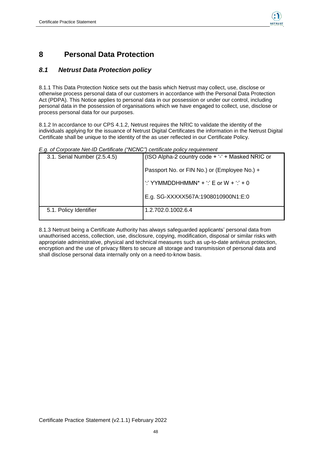

## <span id="page-47-0"></span>**8 Personal Data Protection**

### <span id="page-47-1"></span>*8.1 Netrust Data Protection policy*

8.1.1 This Data Protection Notice sets out the basis which Netrust may collect, use, disclose or otherwise process personal data of our customers in accordance with the Personal Data Protection Act (PDPA). This Notice applies to personal data in our possession or under our control, including personal data in the possession of organisations which we have engaged to collect, use, disclose or process personal data for our purposes.

8.1.2 In accordance to our CPS 4.1.2, Netrust requires the NRIC to validate the identity of the individuals applying for the issuance of Netrust Digital Certificates the information in the Netrust Digital Certificate shall be unique to the identity of the as user reflected in our Certificate Policy.

#### *E.g. of [Corporate Net-ID Certificate \("NCNC"\)](https://www.netrust.net/docs/ourpractices/Netrust_CP_CA2-1_-_Corporate_NetID_V2.0.pdf) certificate policy requirement*

| 3.1. Serial Number (2.5.4.5) | (ISO Alpha-2 country code + '-' + Masked NRIC or |
|------------------------------|--------------------------------------------------|
|                              | Passport No. or FIN No.) or (Employee No.) +     |
|                              | ":' YYMMDDHHMMN* + ":' E or W + ":' + 0          |
|                              | E.g. SG-XXXXX567A:1908010900N1:E:0               |
| 5.1. Policy Identifier       | 1.2.702.0.1002.6.4                               |

8.1.3 Netrust being a Certificate Authority has always safeguarded applicants' personal data from unauthorised access, collection, use, disclosure, copying, modification, disposal or similar risks with appropriate administrative, physical and technical measures such as up-to-date antivirus protection, encryption and the use of privacy filters to secure all storage and transmission of personal data and shall disclose personal data internally only on a need-to-know basis.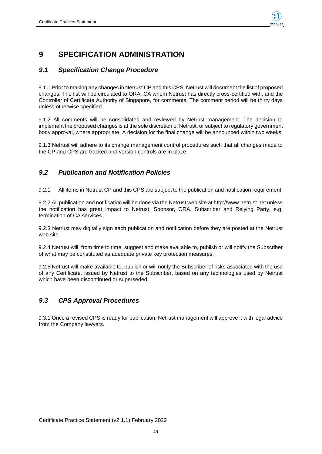

## <span id="page-48-0"></span>**9 SPECIFICATION ADMINISTRATION**

#### <span id="page-48-1"></span>*9.1 Specification Change Procedure*

9.1.1 Prior to making any changes in Netrust CP and this CPS, Netrust will document the list of proposed changes. The list will be circulated to ORA, CA whom Netrust has directly cross-certified with, and the Controller of Certificate Authority of Singapore, for comments. The comment period will be thirty days unless otherwise specified.

9.1.2 All comments will be consolidated and reviewed by Netrust management. The decision to implement the proposed changes is at the sole discretion of Netrust, or subject to regulatory government body approval, where appropriate. A decision for the final change will be announced within two weeks.

9.1.3 Netrust will adhere to its change management control procedures such that all changes made to the CP and CPS are tracked and version controls are in place.

### <span id="page-48-2"></span>*9.2 Publication and Notification Policies*

9.2.1 All items in Netrust CP and this CPS are subject to the publication and notification requirement.

9.2.2 All publication and notification will be done via the Netrust web site at http://www.netrust.net unless the notification has great impact to Netrust, Sponsor, ORA, Subscriber and Relying Party, e.g. termination of CA services.

9.2.3 Netrust may digitally sign each publication and notification before they are posted at the Netrust web site.

9.2.4 Netrust will, from time to time, suggest and make available to, publish or will notify the Subscriber of what may be constituted as adequate private key protection measures.

9.2.5 Netrust will make available to, publish or will notify the Subscriber of risks associated with the use of any Certificate, issued by Netrust to the Subscriber, based on any technologies used by Netrust which have been discontinued or superseded.

### <span id="page-48-3"></span>*9.3 CPS Approval Procedures*

9.3.1 Once a revised CPS is ready for publication, Netrust management will approve it with legal advice from the Company lawyers.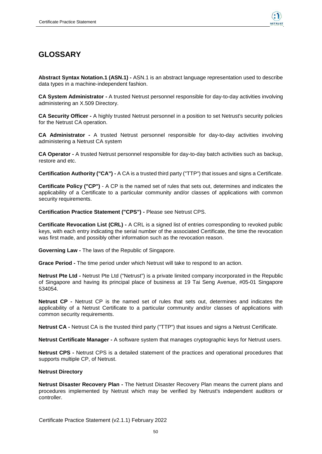

## <span id="page-49-0"></span>**GLOSSARY**

**Abstract Syntax Notation.1 (ASN.1) -** ASN.1 is an abstract language representation used to describe data types in a machine-independent fashion.

**CA System Administrator -** A trusted Netrust personnel responsible for day-to-day activities involving administering an X.509 Directory.

**CA Security Officer -** A highly trusted Netrust personnel in a position to set Netrust's security policies for the Netrust CA operation.

**CA Administrator -** A trusted Netrust personnel responsible for day-to-day activities involving administering a Netrust CA system

**CA Operator -** A trusted Netrust personnel responsible for day-to-day batch activities such as backup, restore and etc.

**Certification Authority ("CA") -** A CA is a trusted third party ("TTP") that issues and signs a Certificate.

**Certificate Policy ("CP")** - A CP is the named set of rules that sets out, determines and indicates the applicability of a Certificate to a particular community and/or classes of applications with common security requirements.

**Certification Practice Statement ("CPS") -** Please see Netrust CPS.

**Certificate Revocation List (CRL) -** A CRL is a signed list of entries corresponding to revoked public keys, with each entry indicating the serial number of the associated Certificate, the time the revocation was first made, and possibly other information such as the revocation reason.

**Governing Law -** The laws of the Republic of Singapore.

**Grace Period -** The time period under which Netrust will take to respond to an action.

**Netrust Pte Ltd -** Netrust Pte Ltd ("Netrust") is a private limited company incorporated in the Republic of Singapore and having its principal place of business at 19 Tai Seng Avenue, #05-01 Singapore 534054.

**Netrust CP -** Netrust CP is the named set of rules that sets out, determines and indicates the applicability of a Netrust Certificate to a particular community and/or classes of applications with common security requirements.

**Netrust CA -** Netrust CA is the trusted third party ("TTP") that issues and signs a Netrust Certificate.

**Netrust Certificate Manager -** A software system that manages cryptographic keys for Netrust users.

**Netrust CPS -** Netrust CPS is a detailed statement of the practices and operational procedures that supports multiple CP, of Netrust.

#### <span id="page-49-1"></span>**Netrust Directory**

**Netrust Disaster Recovery Plan -** The Netrust Disaster Recovery Plan means the current plans and procedures implemented by Netrust which may be verified by Netrust's independent auditors or controller.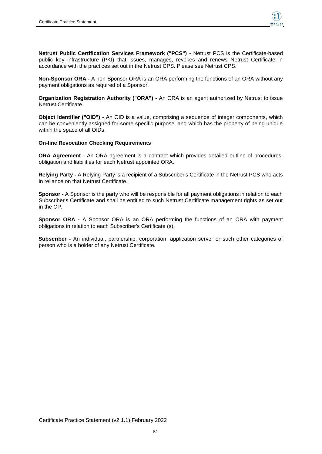

**Netrust Public Certification Services Framework ("PCS") -** Netrust PCS is the Certificate-based public key infrastructure (PKI) that issues, manages, revokes and renews Netrust Certificate in accordance with the practices set out in the Netrust CPS. Please see Netrust CPS.

**Non-Sponsor ORA -** A non-Sponsor ORA is an ORA performing the functions of an ORA without any payment obligations as required of a Sponsor.

**Organization Registration Authority ("ORA")** - An ORA is an agent authorized by Netrust to issue Netrust Certificate.

**Object Identifier ("OID") -** An OID is a value, comprising a sequence of integer components, which can be conveniently assigned for some specific purpose, and which has the property of being unique within the space of all OIDs.

#### <span id="page-50-0"></span>**On-line Revocation Checking Requirements**

**ORA Agreement** - An ORA agreement is a contract which provides detailed outline of procedures, obligation and liabilities for each Netrust appointed ORA.

**Relying Party -** A Relying Party is a recipient of a Subscriber's Certificate in the Netrust PCS who acts in reliance on that Netrust Certificate.

**Sponsor -** A Sponsor is the party who will be responsible for all payment obligations in relation to each Subscriber's Certificate and shall be entitled to such Netrust Certificate management rights as set out in the CP.

**Sponsor ORA -** A Sponsor ORA is an ORA performing the functions of an ORA with payment obligations in relation to each Subscriber's Certificate (s).

**Subscriber -** An individual, partnership, corporation, application server or such other categories of person who is a holder of any Netrust Certificate.